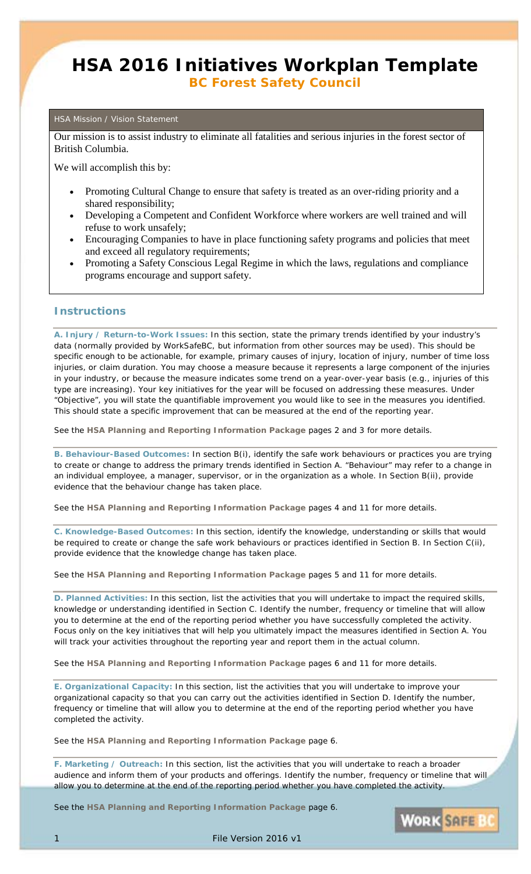## **HSA 2016 Initiatives Workplan Template** *BC Forest Safety Council*

#### HSA Mission / Vision Statement

Our mission is to assist industry to eliminate all fatalities and serious injuries in the forest sector of British Columbia.

We will accomplish this by:

- Promoting Cultural Change to ensure that safety is treated as an over-riding priority and a shared responsibility;
- Developing a Competent and Confident Workforce where workers are well trained and will refuse to work unsafely;
- Encouraging Companies to have in place functioning safety programs and policies that meet and exceed all regulatory requirements;
- Promoting a Safety Conscious Legal Regime in which the laws, regulations and compliance programs encourage and support safety.

### **Instructions**

**A. Injury / Return-to-Work Issues:** In this section, state the primary trends identified by your industry's data (normally provided by WorkSafeBC, but information from other sources may be used). This should be specific enough to be actionable, for example, primary causes of injury, location of injury, number of time loss injuries, or claim duration. You may choose a measure because it represents a large component of the injuries in your industry, or because the measure indicates some trend on a year-over-year basis (e.g., injuries of this type are increasing). Your key initiatives for the year will be focused on addressing these measures. Under "Objective", you will state the quantifiable improvement you would like to see in the measures you identified. This should state a specific improvement that can be measured at the end of the reporting year.

See the **HSA Planning and Reporting Information Package** pages 2 and 3 for more details.

**B. Behaviour-Based Outcomes:** In section B(i), identify the safe work behaviours or practices you are trying to create or change to address the primary trends identified in Section A. "Behaviour" may refer to a change in an individual employee, a manager, supervisor, or in the organization as a whole. In Section B(ii), provide evidence that the behaviour change has taken place.

See the **HSA Planning and Reporting Information Package** pages 4 and 11 for more details.

**C. Knowledge-Based Outcomes:** In this section, identify the knowledge, understanding or skills that would be required to create or change the safe work behaviours or practices identified in Section B. In Section C(ii), provide evidence that the knowledge change has taken place.

See the **HSA Planning and Reporting Information Package** pages 5 and 11 for more details.

**D. Planned Activities:** In this section, list the activities that you will undertake to impact the required skills, knowledge or understanding identified in Section C. Identify the number, frequency or timeline that will allow you to determine at the end of the reporting period whether you have successfully completed the activity. Focus only on the key initiatives that will help you ultimately impact the measures identified in Section A. You will track your activities throughout the reporting year and report them in the actual column.

See the **HSA Planning and Reporting Information Package** pages 6 and 11 for more details.

**E. Organizational Capacity:** In this section, list the activities that you will undertake to improve your organizational capacity so that you can carry out the activities identified in Section D. Identify the number, frequency or timeline that will allow you to determine at the end of the reporting period whether you have completed the activity.

See the **HSA Planning and Reporting Information Package** page 6.

**F. Marketing / Outreach:** In this section, list the activities that you will undertake to reach a broader audience and inform them of your products and offerings. Identify the number, frequency or timeline that will allow you to determine at the end of the reporting period whether you have completed the activity.

See the **HSA Planning and Reporting Information Package** page 6.



File Version 2016 v1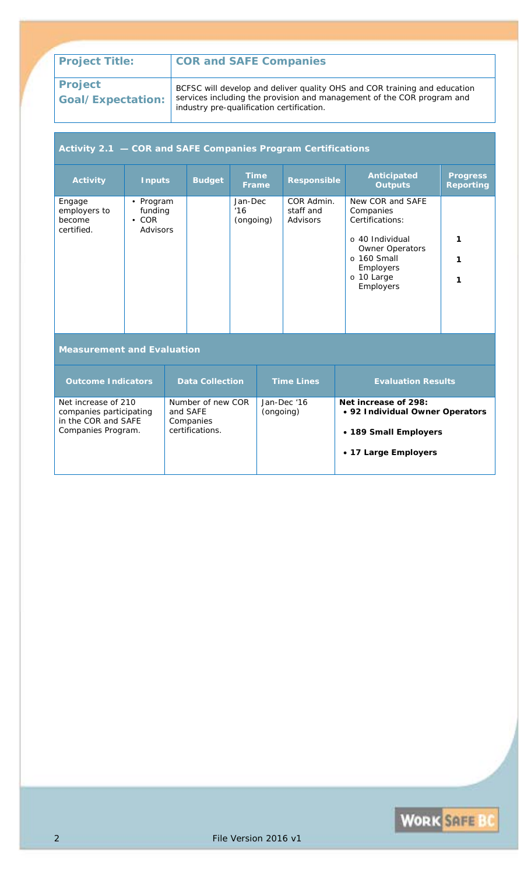## **Project Goal/Expectation:**

BCFSC will develop and deliver quality OHS and COR training and education services including the provision and management of the COR program and industry pre-qualification certification.

## **Activity 2.1 — COR and SAFE Companies Program Certifications**

| <b>Activity</b>                                                                             | <b>Inputs</b>                                   |  | <b>Budget</b>                                                              | <b>Time</b><br><b>Frame</b> |             | <b>Responsible</b>                                                                                       | <b>Anticipated</b><br><b>Outputs</b>                                                                                                                      | <b>Progress</b><br><b>Reporting</b> |
|---------------------------------------------------------------------------------------------|-------------------------------------------------|--|----------------------------------------------------------------------------|-----------------------------|-------------|----------------------------------------------------------------------------------------------------------|-----------------------------------------------------------------------------------------------------------------------------------------------------------|-------------------------------------|
| Engage<br>employers to<br>become<br>certified.                                              | • Program<br>funding<br>$\cdot$ COR<br>Advisors |  |                                                                            | Jan-Dec<br>16<br>(ongoing)  |             | COR Admin.<br>staff and<br>Advisors                                                                      | New COR and SAFE<br>Companies<br>Certifications:<br>$\circ$ 40 Individual<br>Owner Operators<br>$\circ$ 160 Small<br>Employers<br>o 10 Large<br>Employers | 1<br>1<br>1                         |
| <b>Measurement and Evaluation</b>                                                           |                                                 |  |                                                                            |                             |             |                                                                                                          |                                                                                                                                                           |                                     |
| <b>Outcome Indicators</b>                                                                   |                                                 |  | <b>Data Collection</b>                                                     |                             |             | <b>Time Lines</b>                                                                                        | <b>Evaluation Results</b>                                                                                                                                 |                                     |
| Net increase of 210<br>companies participating<br>in the COR and SAFE<br>Companies Program. |                                                 |  | Number of new COR<br>and SAFE<br>(ongoing)<br>Companies<br>certifications. |                             | Jan-Dec '16 | Net increase of 298:<br>• 92 Individual Owner Operators<br>• 189 Small Employers<br>• 17 Large Employers |                                                                                                                                                           |                                     |

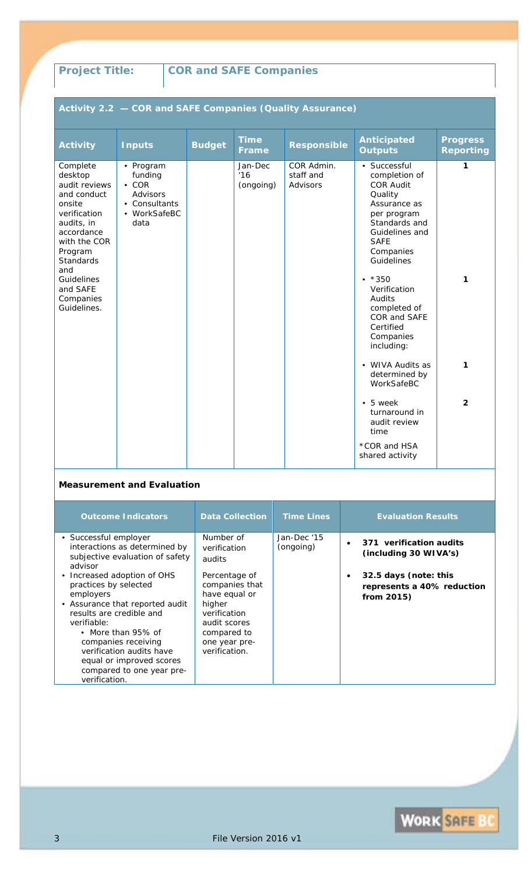# **Activity 2.2 — COR and SAFE Companies (Quality Assurance)**

| <b>Activity</b>                                                                                                                                                                                                       | <b>Inputs</b>                                                                            | <b>Budget</b> | <b>Time</b><br>Frame        | <b>Responsible</b>                  | <b>Anticipated</b><br><b>Outputs</b>                                                                                                                                                                                                                                                    | <b>Progress</b><br><b>Reporting</b> |
|-----------------------------------------------------------------------------------------------------------------------------------------------------------------------------------------------------------------------|------------------------------------------------------------------------------------------|---------------|-----------------------------|-------------------------------------|-----------------------------------------------------------------------------------------------------------------------------------------------------------------------------------------------------------------------------------------------------------------------------------------|-------------------------------------|
| Complete<br>desktop<br>audit reviews<br>and conduct<br>onsite<br>verification<br>audits, in<br>accordance<br>with the COR<br>Program<br><b>Standards</b><br>and<br>Guidelines<br>and SAFE<br>Companies<br>Guidelines. | • Program<br>funding<br>$\cdot$ COR<br>Advisors<br>• Consultants<br>• WorkSafeBC<br>data |               | Jan-Dec<br>16'<br>(ongoing) | COR Admin.<br>staff and<br>Advisors | • Successful<br>completion of<br><b>COR Audit</b><br>Quality<br>Assurance as<br>per program<br>Standards and<br>Guidelines and<br><b>SAFE</b><br>Companies<br>Guidelines<br>$• * 350$<br>Verification<br>Audits<br>completed of<br>COR and SAFE<br>Certified<br>Companies<br>including: | 1<br>1                              |
|                                                                                                                                                                                                                       |                                                                                          |               |                             |                                     | • WIVA Audits as<br>determined by<br>WorkSafeBC                                                                                                                                                                                                                                         | 1                                   |
|                                                                                                                                                                                                                       |                                                                                          |               |                             |                                     | $\bullet$ 5 week<br>turnaround in<br>audit review<br>time                                                                                                                                                                                                                               | $\overline{2}$                      |
|                                                                                                                                                                                                                       |                                                                                          |               |                             |                                     | *COR and HSA<br>shared activity                                                                                                                                                                                                                                                         |                                     |

| <b>Outcome Indicators</b>                                                                                                                                                                                                                                                                          | <b>Data Collection</b>                                                                                                                      | <b>Time Lines</b>        | <b>Evaluation Results</b>                                            |
|----------------------------------------------------------------------------------------------------------------------------------------------------------------------------------------------------------------------------------------------------------------------------------------------------|---------------------------------------------------------------------------------------------------------------------------------------------|--------------------------|----------------------------------------------------------------------|
| • Successful employer<br>interactions as determined by<br>subjective evaluation of safety<br>advisor                                                                                                                                                                                               | Number of<br>verification<br>audits                                                                                                         | Jan-Dec '15<br>(ongoing) | 371 verification audits<br>(including 30 WIVA's)                     |
| • Increased adoption of OHS<br>practices by selected<br>employers<br>• Assurance that reported audit<br>results are credible and<br>verifiable:<br>• More than 95% of<br>companies receiving<br>verification audits have<br>equal or improved scores<br>compared to one year pre-<br>verification. | Percentage of<br>companies that<br>have equal or<br>higher<br>verification<br>audit scores<br>compared to<br>one year pre-<br>verification. |                          | 32.5 days (note: this<br>represents a 40% reduction<br>from $2015$ ) |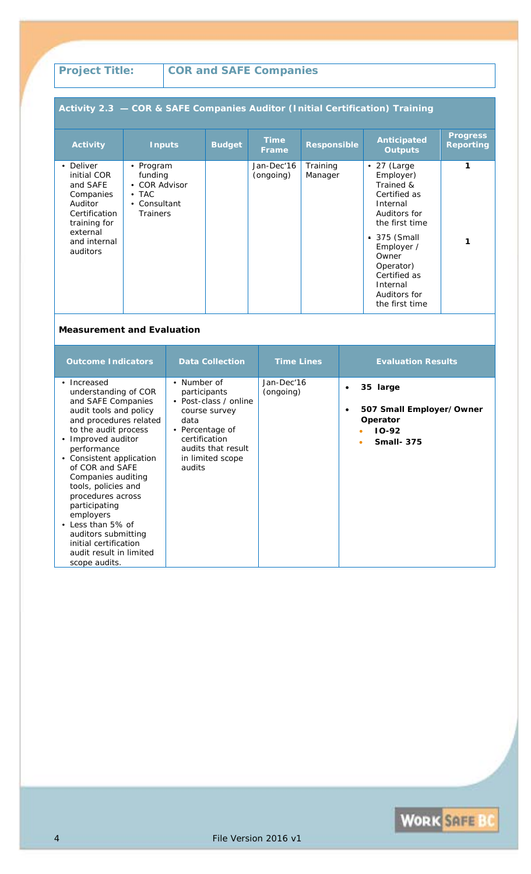## **Activity 2.3 — COR & SAFE Companies Auditor (Initial Certification) Training**

| <b>Activity</b>                                                                                                                       | <b>Inputs</b>                                                                             | <b>Budget</b> | <b>Time</b><br><b>Frame</b> | <b>Responsible</b>  | Anticipated<br><b>Outputs</b>                                                                                                                                                                                                 | <b>Progress</b><br><b>Reporting</b> |
|---------------------------------------------------------------------------------------------------------------------------------------|-------------------------------------------------------------------------------------------|---------------|-----------------------------|---------------------|-------------------------------------------------------------------------------------------------------------------------------------------------------------------------------------------------------------------------------|-------------------------------------|
| • Deliver<br>initial COR<br>and SAFE<br>Companies<br>Auditor<br>Certification<br>training for<br>external<br>and internal<br>auditors | • Program<br>funding<br>• COR Advisor<br>$\bullet$ TAC<br>• Consultant<br><b>Trainers</b> |               | Jan-Dec'16<br>(ongoing)     | Training<br>Manager | $\bullet$ 27 (Large<br>Employer)<br>Trained &<br>Certified as<br>Internal<br>Auditors for<br>the first time<br>■ 375 (Small<br>Employer /<br>Owner<br>Operator)<br>Certified as<br>Internal<br>Auditors for<br>the first time | 1<br>1                              |

| <b>Outcome Indicators</b>                                                                                                                                                                                                                                                                                                                                                                                                                  | <b>Data Collection</b>                                                                                                                                                | <b>Time Lines</b>       | <b>Evaluation Results</b>                                                                         |
|--------------------------------------------------------------------------------------------------------------------------------------------------------------------------------------------------------------------------------------------------------------------------------------------------------------------------------------------------------------------------------------------------------------------------------------------|-----------------------------------------------------------------------------------------------------------------------------------------------------------------------|-------------------------|---------------------------------------------------------------------------------------------------|
| • Increased<br>understanding of COR<br>and SAFE Companies<br>audit tools and policy<br>and procedures related<br>to the audit process<br>• Improved auditor<br>performance<br>• Consistent application<br>of COR and SAFE<br>Companies auditing<br>tools, policies and<br>procedures across<br>participating<br>employers<br>• Less than 5% of<br>auditors submitting<br>initial certification<br>audit result in limited<br>scope audits. | • Number of<br>participants<br>• Post-class / online<br>course survey<br>data<br>• Percentage of<br>certification<br>audits that result<br>in limited scope<br>audits | Jan-Dec'16<br>(ongoing) | 35 large<br>$\bullet$<br>507 Small Employer/Owner<br>٠<br>Operator<br>$IO-92$<br><b>Small-375</b> |

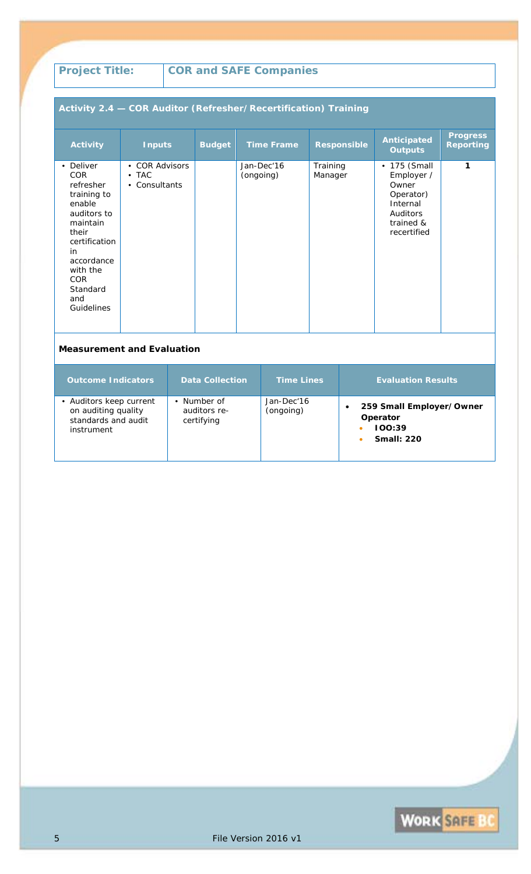## **Activity 2.4 — COR Auditor (Refresher/Recertification) Training**

| <b>Activity</b>                                                                                                                                                                            | <b>Inputs</b>                                               | <b>Budget</b> | <b>Time Frame</b>       | <b>Responsible</b>  | <b>Anticipated</b><br><b>Outputs</b>                                                                       | <b>Progress</b><br><b>Reporting</b> |
|--------------------------------------------------------------------------------------------------------------------------------------------------------------------------------------------|-------------------------------------------------------------|---------------|-------------------------|---------------------|------------------------------------------------------------------------------------------------------------|-------------------------------------|
| • Deliver<br>COR<br>refresher<br>training to<br>enable<br>auditors to<br>maintain<br>their<br>certification<br>in<br>accordance<br>with the<br><b>COR</b><br>Standard<br>and<br>Guidelines | • COR Advisors<br>$\bullet$ TAC<br>Consultants<br>$\bullet$ |               | Jan-Dec'16<br>(ongoing) | Training<br>Manager | $\cdot$ 175 (Small<br>Employer /<br>Owner<br>Operator)<br>Internal<br>Auditors<br>trained &<br>recertified | 1                                   |

| <b>Outcome Indicators</b>                                                           | <b>Data Collection</b>                    | <b>Time Lines</b>       | <b>Evaluation Results</b>                                           |
|-------------------------------------------------------------------------------------|-------------------------------------------|-------------------------|---------------------------------------------------------------------|
| • Auditors keep current<br>on auditing quality<br>standards and audit<br>instrument | • Number of<br>auditors re-<br>certifying | Jan-Dec'16<br>(ongoing) | 259 Small Employer/Owner<br>Operator<br>100:39<br><b>Small: 220</b> |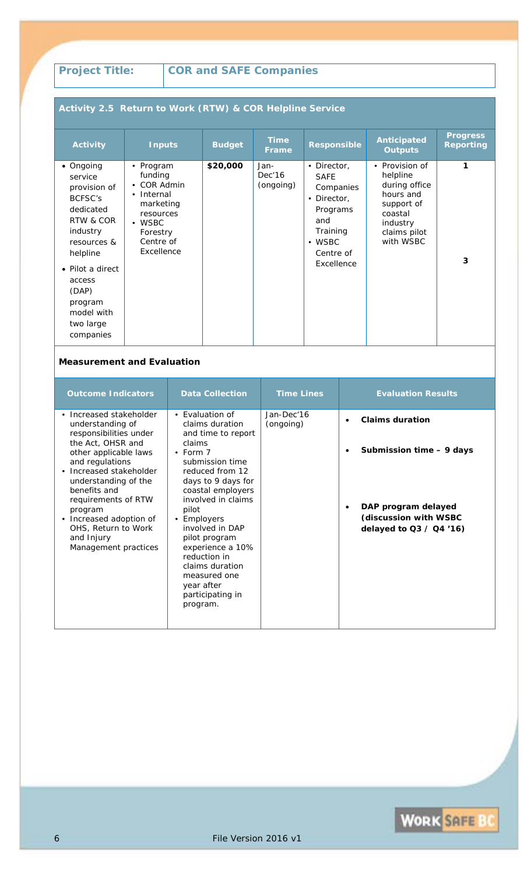## **Activity 2.5 Return to Work (RTW) & COR Helpline Service**

| <b>Activity</b>                                                                                                                                                                                            | <b>Inputs</b>                                                                                                                        | <b>Budget</b> | <b>Time</b><br><b>Frame</b> | <b>Responsible</b>                                                                                                                 | <b>Anticipated</b><br><b>Outputs</b>                                                                                                  | <b>Progress</b><br><b>Reporting</b> |
|------------------------------------------------------------------------------------------------------------------------------------------------------------------------------------------------------------|--------------------------------------------------------------------------------------------------------------------------------------|---------------|-----------------------------|------------------------------------------------------------------------------------------------------------------------------------|---------------------------------------------------------------------------------------------------------------------------------------|-------------------------------------|
| • Ongoing<br>service<br>provision of<br>BCFSC's<br>dedicated<br>RTW & COR<br>industry<br>resources &<br>helpline<br>• Pilot a direct<br>access<br>(DAP)<br>program<br>model with<br>two large<br>companies | • Program<br>funding<br>• COR Admin<br>• Internal<br>marketing<br>resources<br>$\bullet$ WSBC<br>Forestry<br>Centre of<br>Excellence | \$20,000      | Jan-<br>Dec'16<br>(ongoing) | • Director,<br><b>SAFE</b><br>Companies<br>• Director,<br>Programs<br>and<br>Training<br>$\bullet$ WSBC<br>Centre of<br>Excellence | Provision of<br>$\bullet$<br>helpline<br>during office<br>hours and<br>support of<br>coastal<br>industry<br>claims pilot<br>with WSBC | 1<br>3                              |

| <b>Outcome Indicators</b>                                                                                                                                                                                                                                                                                                           | <b>Data Collection</b>                                                                                                                                                                                                                                                                                                                                                                          | <b>Time Lines</b>       | <b>Evaluation Results</b>                                                                                                       |
|-------------------------------------------------------------------------------------------------------------------------------------------------------------------------------------------------------------------------------------------------------------------------------------------------------------------------------------|-------------------------------------------------------------------------------------------------------------------------------------------------------------------------------------------------------------------------------------------------------------------------------------------------------------------------------------------------------------------------------------------------|-------------------------|---------------------------------------------------------------------------------------------------------------------------------|
| • Increased stakeholder<br>understanding of<br>responsibilities under<br>the Act, OHSR and<br>other applicable laws<br>and regulations<br>• Increased stakeholder<br>understanding of the<br>benefits and<br>requirements of RTW<br>program<br>• Increased adoption of<br>OHS, Return to Work<br>and Injury<br>Management practices | $\bullet$ Evaluation of<br>claims duration<br>and time to report<br>claims<br>$\cdot$ Form 7<br>submission time<br>reduced from 12<br>days to 9 days for<br>coastal employers<br>involved in claims<br>pilot<br>Employers<br>$\bullet$<br>involved in DAP<br>pilot program<br>experience a 10%<br>reduction in<br>claims duration<br>measured one<br>year after<br>participating in<br>program. | Jan-Dec'16<br>(ongoing) | <b>Claims duration</b><br>Submission time - 9 days<br>DAP program delayed<br>(discussion with WSBC<br>delayed to $Q3 / Q4$ '16) |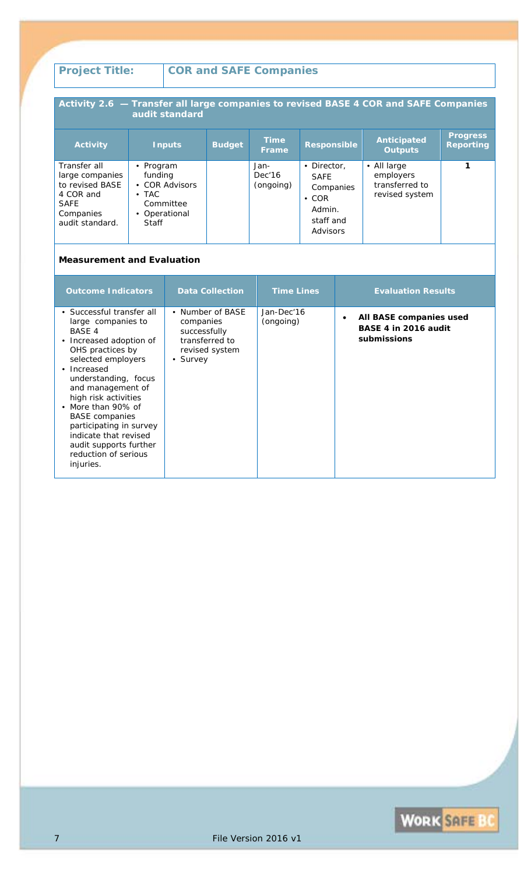#### **Activity 2.6 — Transfer all large companies to revised BASE 4 COR and SAFE Companies audit standard Activity Inputs Budget Time Frame Responsible Anticipated Outputs Progress Reporting** Transfer all large companies to revised BASE 4 COR and SAFE Companies audit standard. • Program funding • COR Advisors • TAC Committee • Operational **Staff** Jan-Dec'16 (ongoing) • Director, SAFE Companies • COR Admin. staff and Advisors • All large employers transferred to revised system **1**

| <b>Outcome Indicators</b>                                                                                                                                                                                                                                                                                                                                                                   | <b>Data Collection</b>                                                                        | <b>Time Lines</b>       | <b>Evaluation Results</b>                                      |
|---------------------------------------------------------------------------------------------------------------------------------------------------------------------------------------------------------------------------------------------------------------------------------------------------------------------------------------------------------------------------------------------|-----------------------------------------------------------------------------------------------|-------------------------|----------------------------------------------------------------|
| • Successful transfer all<br>large companies to<br><b>BASE 4</b><br>• Increased adoption of<br>OHS practices by<br>selected employers<br>• Increased<br>understanding, focus<br>and management of<br>high risk activities<br>• More than 90% of<br><b>BASE</b> companies<br>participating in survey<br>indicate that revised<br>audit supports further<br>reduction of serious<br>injuries. | • Number of BASE<br>companies<br>successfully<br>transferred to<br>revised system<br>• Survey | Jan-Dec'16<br>(ongoing) | All BASE companies used<br>BASE 4 in 2016 audit<br>submissions |

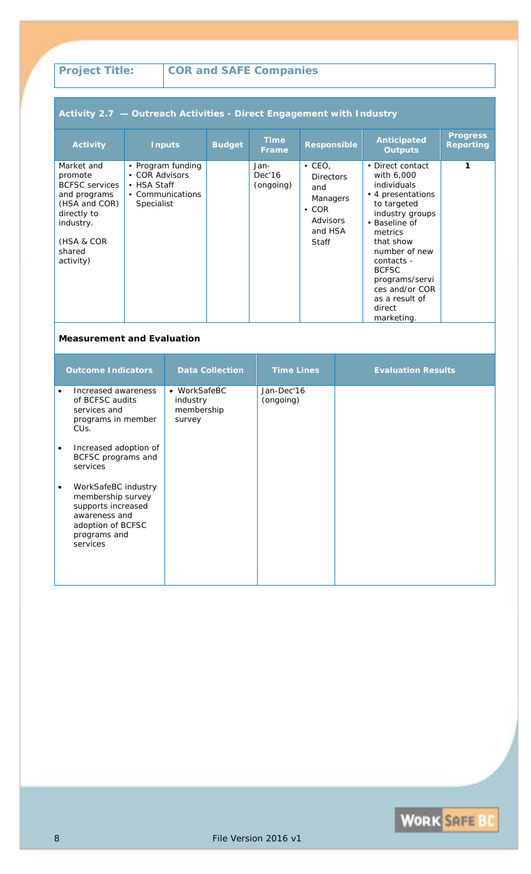## **Activity 2.7 — Outreach Activities - Direct Engagement with Industry**

| <b>Activity</b>                                                                                                                                  | <b>Inputs</b>                                                                        | <b>Budget</b> | <b>Time</b><br><b>Frame</b> | <b>Responsible</b>                                                                                        | <b>Anticipated</b><br><b>Outputs</b>                                                                                                                                                                                                                                              | <b>Progress</b><br><b>Reporting</b> |
|--------------------------------------------------------------------------------------------------------------------------------------------------|--------------------------------------------------------------------------------------|---------------|-----------------------------|-----------------------------------------------------------------------------------------------------------|-----------------------------------------------------------------------------------------------------------------------------------------------------------------------------------------------------------------------------------------------------------------------------------|-------------------------------------|
| Market and<br>promote<br><b>BCFSC</b> services<br>and programs<br>(HSA and COR)<br>directly to<br>industry.<br>(HSA & COR<br>shared<br>activity) | • Program funding<br>• COR Advisors<br>• HSA Staff<br>• Communications<br>Specialist |               | Jan-<br>Dec'16<br>(ongoing) | $\cdot$ CEO.<br><b>Directors</b><br>and<br><b>Managers</b><br>$\cdot$ COR<br>Advisors<br>and HSA<br>Staff | • Direct contact<br>with 6,000<br><i>individuals</i><br>• 4 presentations<br>to targeted<br>industry groups<br>• Baseline of<br>metrics<br>that show<br>number of new<br>contacts -<br><b>BCFSC</b><br>programs/servi<br>ces and/or COR<br>as a result of<br>direct<br>marketing. | 1                                   |

|           | <b>Outcome Indicators</b>                                                                                                        | <b>Data Collection</b>                           | <b>Time Lines</b>       | <b>Evaluation Results</b> |
|-----------|----------------------------------------------------------------------------------------------------------------------------------|--------------------------------------------------|-------------------------|---------------------------|
| $\bullet$ | Increased awareness<br>of BCFSC audits<br>services and<br>programs in member<br>CU <sub>S</sub> .                                | • WorkSafeBC<br>industry<br>membership<br>survey | Jan-Dec'16<br>(ongoing) |                           |
| $\bullet$ | Increased adoption of<br>BCFSC programs and<br>services                                                                          |                                                  |                         |                           |
| ٠         | WorkSafeBC industry<br>membership survey<br>supports increased<br>awareness and<br>adoption of BCFSC<br>programs and<br>services |                                                  |                         |                           |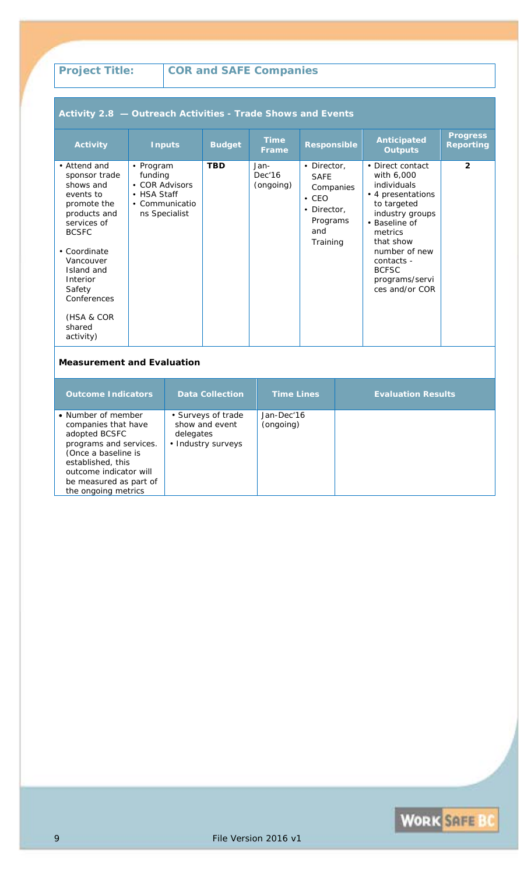## **Activity 2.8 — Outreach Activities - Trade Shows and Events**

| <b>Activity</b>                                                                                                                                                                                                                            | <b>Inputs</b>                                                                            | <b>Budget</b> | <b>Time</b><br><b>Frame</b> | <b>Responsible</b>                                                                                   | <b>Anticipated</b><br><b>Outputs</b>                                                                                                                                                                                             | <b>Progress</b><br><b>Reporting</b> |
|--------------------------------------------------------------------------------------------------------------------------------------------------------------------------------------------------------------------------------------------|------------------------------------------------------------------------------------------|---------------|-----------------------------|------------------------------------------------------------------------------------------------------|----------------------------------------------------------------------------------------------------------------------------------------------------------------------------------------------------------------------------------|-------------------------------------|
| • Attend and<br>sponsor trade<br>shows and<br>events to<br>promote the<br>products and<br>services of<br><b>BCSFC</b><br>• Coordinate<br>Vancouver<br>Island and<br>Interior<br>Safety<br>Conferences<br>(HSA & COR<br>shared<br>activity) | • Program<br>funding<br>• COR Advisors<br>• HSA Staff<br>• Communicatio<br>ns Specialist | <b>TBD</b>    | Jan-<br>Dec'16<br>(ongoing) | • Director,<br><b>SAFE</b><br>Companies<br>$\cdot$ CEO<br>• Director,<br>Programs<br>and<br>Training | • Direct contact<br>with 6,000<br>individuals<br>• 4 presentations<br>to targeted<br>industry groups<br>• Baseline of<br>metrics<br>that show<br>number of new<br>contacts -<br><b>BCFSC</b><br>programs/servi<br>ces and/or COR | $\overline{2}$                      |

| <b>Outcome Indicators</b>                                                                                                                                                                                   | <b>Data Collection</b>                                                  | <b>Time Lines</b>       | <b>Evaluation Results</b> |
|-------------------------------------------------------------------------------------------------------------------------------------------------------------------------------------------------------------|-------------------------------------------------------------------------|-------------------------|---------------------------|
| • Number of member<br>companies that have<br>adopted BCSFC<br>programs and services.<br>(Once a baseline is<br>established, this<br>outcome indicator will<br>be measured as part of<br>the ongoing metrics | • Surveys of trade<br>show and event<br>delegates<br>• Industry surveys | Jan-Dec'16<br>(ongoing) |                           |

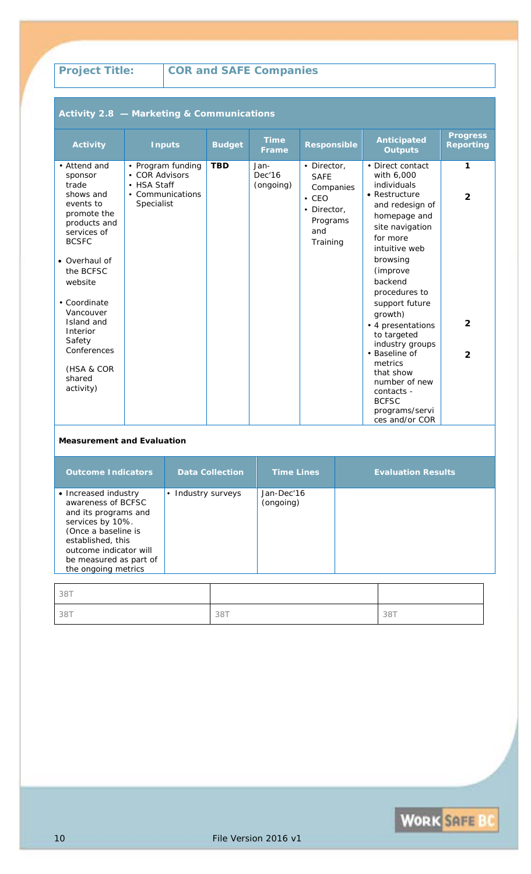**Activity 2.8 — Marketing & Communications**

# **Project Title: COR and SAFE Companies**

| <b>Activity</b>                                                                                                                                                                                                                                                                        | <b>Inputs</b>                                                                        |  | <b>Budget</b> | <b>Time</b><br><b>Frame</b> | <b>Responsible</b>                                                                                   | <b>Anticipated</b><br><b>Outputs</b>                                                                                                                                                                                                                                                                                                                                                                                  | <b>Progress</b><br><b>Reporting</b>                   |
|----------------------------------------------------------------------------------------------------------------------------------------------------------------------------------------------------------------------------------------------------------------------------------------|--------------------------------------------------------------------------------------|--|---------------|-----------------------------|------------------------------------------------------------------------------------------------------|-----------------------------------------------------------------------------------------------------------------------------------------------------------------------------------------------------------------------------------------------------------------------------------------------------------------------------------------------------------------------------------------------------------------------|-------------------------------------------------------|
| • Attend and<br>sponsor<br>trade<br>shows and<br>events to<br>promote the<br>products and<br>services of<br><b>BCSFC</b><br>• Overhaul of<br>the BCFSC<br>website<br>• Coordinate<br>Vancouver<br>Island and<br>Interior<br>Safety<br>Conferences<br>(HSA & COR<br>shared<br>activity) | • Program funding<br>• COR Advisors<br>• HSA Staff<br>• Communications<br>Specialist |  | <b>TBD</b>    | Jan-<br>Dec'16<br>(ongoing) | • Director,<br><b>SAFE</b><br>Companies<br>$\cdot$ CEO<br>• Director,<br>Programs<br>and<br>Training | • Direct contact<br>with 6,000<br>individuals<br>• Restructure<br>and redesign of<br>homepage and<br>site navigation<br>for more<br>intuitive web<br>browsing<br>(improve<br>backend<br>procedures to<br>support future<br>growth)<br>• 4 presentations<br>to targeted<br>industry groups<br>• Baseline of<br>metrics<br>that show<br>number of new<br>contacts -<br><b>BCFSC</b><br>programs/servi<br>ces and/or COR | 1<br>$\mathbf{2}$<br>$\overline{2}$<br>$\overline{2}$ |
|                                                                                                                                                                                                                                                                                        | <b>Measurement and Evaluation</b>                                                    |  |               |                             |                                                                                                      |                                                                                                                                                                                                                                                                                                                                                                                                                       |                                                       |
|                                                                                                                                                                                                                                                                                        |                                                                                      |  |               |                             |                                                                                                      |                                                                                                                                                                                                                                                                                                                                                                                                                       |                                                       |

| <b>Outcome Indicators</b>                                                                                                                                                                                     | <b>Data Collection</b>        | <b>Time Lines</b>       | <b>Evaluation Results</b> |
|---------------------------------------------------------------------------------------------------------------------------------------------------------------------------------------------------------------|-------------------------------|-------------------------|---------------------------|
| • Increased industry<br>awareness of BCFSC<br>and its programs and<br>services by 10%.<br>(Once a baseline is<br>established, this<br>outcome indicator will<br>be measured as part of<br>the ongoing metrics | Industry surveys<br>$\bullet$ | Jan-Dec'16<br>(ongoing) |                           |
| 38T                                                                                                                                                                                                           |                               |                         |                           |

| 38T |     |     |
|-----|-----|-----|
| 38T | 38T | 38T |

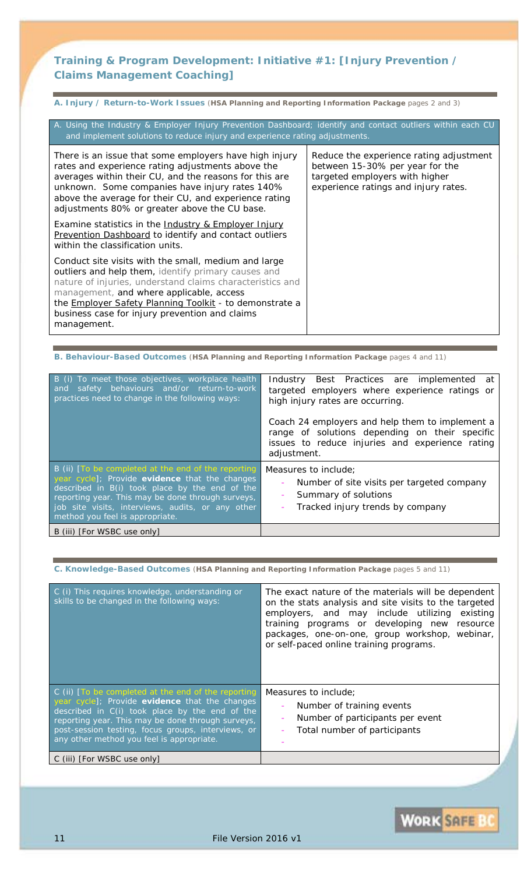## **Training & Program Development: Initiative #1:** *[Injury Prevention / Claims Management Coaching]*

| A. Injury / Return-to-Work Issues (HSA Planning and Reporting Information Package pages 2 and 3)                                                                                                                                                                                                                                                                                                     |                                                                                                                                                      |  |  |  |
|------------------------------------------------------------------------------------------------------------------------------------------------------------------------------------------------------------------------------------------------------------------------------------------------------------------------------------------------------------------------------------------------------|------------------------------------------------------------------------------------------------------------------------------------------------------|--|--|--|
| A. Using the Industry & Employer Injury Prevention Dashboard; identify and contact outliers within each CU<br>and implement solutions to reduce injury and experience rating adjustments.                                                                                                                                                                                                            |                                                                                                                                                      |  |  |  |
| There is an issue that some employers have high injury<br>rates and experience rating adjustments above the<br>averages within their CU, and the reasons for this are<br>unknown. Some companies have injury rates 140%<br>above the average for their CU, and experience rating<br>adjustments 80% or greater above the CU base.<br>Examine statistics in the <u>Industry &amp; Employer Injury</u> | Reduce the experience rating adjustment<br>between 15-30% per year for the<br>targeted employers with higher<br>experience ratings and injury rates. |  |  |  |
| <b>Prevention Dashboard to identify and contact outliers</b><br>within the classification units.                                                                                                                                                                                                                                                                                                     |                                                                                                                                                      |  |  |  |
| Conduct site visits with the small, medium and large<br>outliers and help them, identify primary causes and<br>nature of injuries, understand claims characteristics and<br>management, and where applicable, access<br>the <b>Employer Safety Planning Toolkit</b> - to demonstrate a<br>business case for injury prevention and claims<br>management.                                              |                                                                                                                                                      |  |  |  |

**B. Behaviour-Based Outcomes** (**HSA Planning and Reporting Information Package** pages 4 and 11)

| B (i) To meet those objectives, workplace health<br>and safety behaviours and/or return-to-work<br>practices need to change in the following ways:                                                                                                                                                   | Industry Best Practices are implemented<br>at<br>targeted employers where experience ratings or<br>high injury rates are occurring.<br>Coach 24 employers and help them to implement a<br>range of solutions depending on their specific<br>issues to reduce injuries and experience rating<br>adjustment. |
|------------------------------------------------------------------------------------------------------------------------------------------------------------------------------------------------------------------------------------------------------------------------------------------------------|------------------------------------------------------------------------------------------------------------------------------------------------------------------------------------------------------------------------------------------------------------------------------------------------------------|
| B (ii) [To be completed at the end of the reporting<br>year cycle]; Provide evidence that the changes<br>described in B(i) took place by the end of the<br>reporting year. This may be done through surveys,<br>job site visits, interviews, audits, or any other<br>method you feel is appropriate. | Measures to include;<br>Number of site visits per targeted company<br>Summary of solutions<br>Tracked injury trends by company                                                                                                                                                                             |
| B (iii) [For WSBC use only]                                                                                                                                                                                                                                                                          |                                                                                                                                                                                                                                                                                                            |

**C. Knowledge-Based Outcomes** (**HSA Planning and Reporting Information Package** pages 5 and 11)

| C (i) This requires knowledge, understanding or<br>skills to be changed in the following ways:                                                                                                                                                                                                                      | The exact nature of the materials will be dependent<br>on the stats analysis and site visits to the targeted<br>employers, and may include utilizing existing<br>training programs or developing new resource<br>packages, one-on-one, group workshop, webinar,<br>or self-paced online training programs. |
|---------------------------------------------------------------------------------------------------------------------------------------------------------------------------------------------------------------------------------------------------------------------------------------------------------------------|------------------------------------------------------------------------------------------------------------------------------------------------------------------------------------------------------------------------------------------------------------------------------------------------------------|
| $C$ (ii) $T$ o be completed at the end of the reporting<br>year cycle]; Provide evidence that the changes<br>described in C(i) took place by the end of the<br>reporting year. This may be done through surveys,<br>post-session testing, focus groups, interviews, or<br>any other method you feel is appropriate. | Measures to include;<br>Number of training events<br>Number of participants per event<br>Total number of participants                                                                                                                                                                                      |
| C (iii) [For WSBC use only]                                                                                                                                                                                                                                                                                         |                                                                                                                                                                                                                                                                                                            |

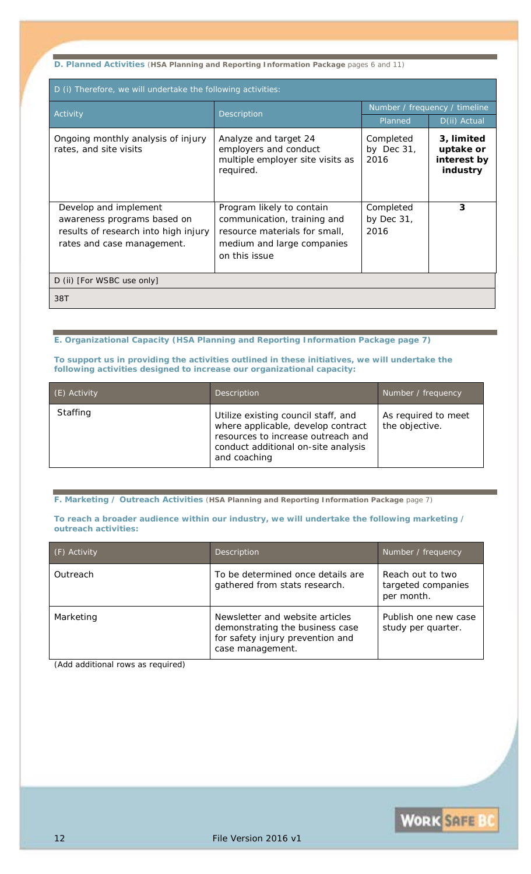**D. Planned Activities** (**HSA Planning and Reporting Information Package** pages 6 and 11)

| D (i) Therefore, we will undertake the following activities:                                                               |                                                                                                                                          |                                    |                                                    |  |
|----------------------------------------------------------------------------------------------------------------------------|------------------------------------------------------------------------------------------------------------------------------------------|------------------------------------|----------------------------------------------------|--|
| Activity                                                                                                                   | Description                                                                                                                              | Number / frequency / timeline      |                                                    |  |
|                                                                                                                            |                                                                                                                                          | Planned                            | D(ii) Actual                                       |  |
| Ongoing monthly analysis of injury<br>rates, and site visits                                                               | Analyze and target 24<br>employers and conduct<br>multiple employer site visits as<br>required.                                          | Completed<br>by Dec $31$ ,<br>2016 | 3, limited<br>uptake or<br>interest by<br>industry |  |
| Develop and implement<br>awareness programs based on<br>results of research into high injury<br>rates and case management. | Program likely to contain<br>communication, training and<br>resource materials for small,<br>medium and large companies<br>on this issue | Completed<br>by Dec $31$ ,<br>2016 | 3                                                  |  |
| D (ii) [For WSBC use only]                                                                                                 |                                                                                                                                          |                                    |                                                    |  |
| 38T                                                                                                                        |                                                                                                                                          |                                    |                                                    |  |

#### **E. Organizational Capacity (HSA Planning and Reporting Information Package page 7)**

**To support us in providing the activities outlined in these initiatives, we will undertake the following activities designed to increase our organizational capacity:**

| (E) Activity    | Description                                                                                                                                                            | Number / frequency                    |
|-----------------|------------------------------------------------------------------------------------------------------------------------------------------------------------------------|---------------------------------------|
| <b>Staffing</b> | Utilize existing council staff, and<br>where applicable, develop contract<br>resources to increase outreach and<br>conduct additional on-site analysis<br>and coaching | As required to meet<br>the objective. |

**F. Marketing / Outreach Activities** (**HSA Planning and Reporting Information Package** page 7)

#### **To reach a broader audience within our industry, we will undertake the following marketing / outreach activities:**

| (F) Activity | Description                                                                                                                | Number / frequency                                   |
|--------------|----------------------------------------------------------------------------------------------------------------------------|------------------------------------------------------|
| Outreach     | To be determined once details are<br>gathered from stats research.                                                         | Reach out to two<br>targeted companies<br>per month. |
| Marketing    | Newsletter and website articles<br>demonstrating the business case<br>for safety injury prevention and<br>case management. | Publish one new case<br>study per quarter.           |

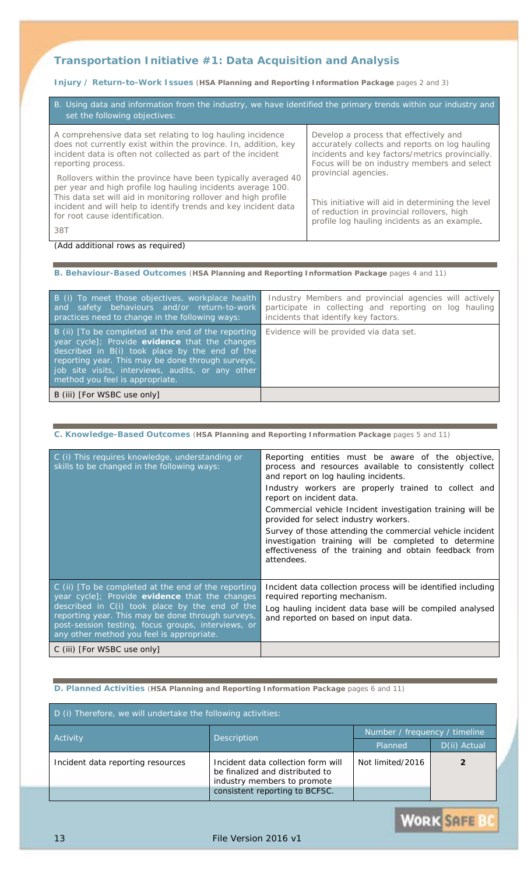## **Transportation Initiative #1:** *Data Acquisition and Analysis*

## **Injury / Return-to-Work Issues** (**HSA Planning and Reporting Information Package** pages 2 and 3)

| B. Using data and information from the industry, we have identified the primary trends within our industry and<br>set the following objectives:                                                                                                                                                             |                                                                                                                                                                                             |
|-------------------------------------------------------------------------------------------------------------------------------------------------------------------------------------------------------------------------------------------------------------------------------------------------------------|---------------------------------------------------------------------------------------------------------------------------------------------------------------------------------------------|
| A comprehensive data set relating to log hauling incidence<br>does not currently exist within the province. In, addition, key<br>incident data is often not collected as part of the incident<br>reporting process.                                                                                         | Develop a process that effectively and<br>accurately collects and reports on log hauling<br>incidents and key factors/metrics provincially.<br>Focus will be on industry members and select |
| Rollovers within the province have been typically averaged 40<br>per year and high profile log hauling incidents average 100.<br>This data set will aid in monitoring rollover and high profile<br>incident and will help to identify trends and key incident data<br>for root cause identification.<br>38T | provincial agencies.<br>This initiative will aid in determining the level<br>of reduction in provincial rollovers, high<br>profile log hauling incidents as an example.                     |

#### *(Add additional rows as required)*

#### **B. Behaviour-Based Outcomes** (**HSA Planning and Reporting Information Package** pages 4 and 11)

| B (i) To meet those objectives, workplace health<br>and safety behaviours and/or return-to-work<br>practices need to change in the following ways:                                                                                                                                                   | Industry Members and provincial agencies will actively<br>participate in collecting and reporting on log hauling<br>incidents that identify key factors. |
|------------------------------------------------------------------------------------------------------------------------------------------------------------------------------------------------------------------------------------------------------------------------------------------------------|----------------------------------------------------------------------------------------------------------------------------------------------------------|
| B (ii) [To be completed at the end of the reporting<br>year cycle]; Provide evidence that the changes<br>described in B(i) took place by the end of the<br>reporting year. This may be done through surveys,<br>job site visits, interviews, audits, or any other<br>method you feel is appropriate. | Evidence will be provided via data set.                                                                                                                  |
| B (iii) [For WSBC use only]                                                                                                                                                                                                                                                                          |                                                                                                                                                          |

### **C. Knowledge-Based Outcomes** (**HSA Planning and Reporting Information Package** pages 5 and 11)

| C (i) This requires knowledge, understanding or<br>skills to be changed in the following ways:                                                                                                                                                                                                                  | Reporting entities must be aware of the objective,<br>process and resources available to consistently collect<br>and report on log hauling incidents.<br>Industry workers are properly trained to collect and<br>report on incident data.<br>Commercial vehicle Incident investigation training will be<br>provided for select industry workers.<br>Survey of those attending the commercial vehicle incident<br>investigation training will be completed to determine<br>effectiveness of the training and obtain feedback from<br>attendees. |
|-----------------------------------------------------------------------------------------------------------------------------------------------------------------------------------------------------------------------------------------------------------------------------------------------------------------|------------------------------------------------------------------------------------------------------------------------------------------------------------------------------------------------------------------------------------------------------------------------------------------------------------------------------------------------------------------------------------------------------------------------------------------------------------------------------------------------------------------------------------------------|
| C (ii) [To be completed at the end of the reporting<br>year cycle]; Provide evidence that the changes<br>described in C(i) took place by the end of the<br>reporting year. This may be done through surveys,<br>post-session testing, focus groups, interviews, or<br>any other method you feel is appropriate. | Incident data collection process will be identified including<br>required reporting mechanism.<br>Log hauling incident data base will be compiled analysed<br>and reported on based on input data.                                                                                                                                                                                                                                                                                                                                             |
| C (iii) [For WSBC use only]                                                                                                                                                                                                                                                                                     |                                                                                                                                                                                                                                                                                                                                                                                                                                                                                                                                                |

## **D. Planned Activities** (**HSA Planning and Reporting Information Package** pages 6 and 11)

| D (i) Therefore, we will undertake the following activities: |                                                                                                                                        |                  |              |
|--------------------------------------------------------------|----------------------------------------------------------------------------------------------------------------------------------------|------------------|--------------|
|                                                              | Number / frequency / timeline                                                                                                          |                  |              |
| Activity                                                     | <b>Description</b>                                                                                                                     | Planned          | D(ii) Actual |
| Incident data reporting resources                            | Incident data collection form will<br>be finalized and distributed to<br>industry members to promote<br>consistent reporting to BCFSC. | Not limited/2016 |              |

**WORK SAFE B**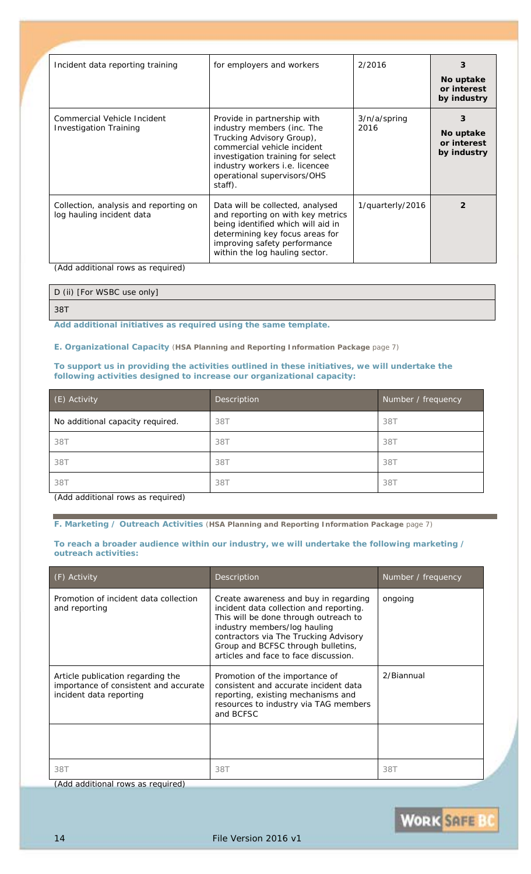| Incident data reporting training                                   | for employers and workers                                                                                                                                                                                                              | 2/2016               | 3<br>No uptake<br>or interest<br>by industry |
|--------------------------------------------------------------------|----------------------------------------------------------------------------------------------------------------------------------------------------------------------------------------------------------------------------------------|----------------------|----------------------------------------------|
| Commercial Vehicle Incident<br><b>Investigation Training</b>       | Provide in partnership with<br>industry members (inc. The<br>Trucking Advisory Group),<br>commercial vehicle incident<br>investigation training for select<br>industry workers i.e. licencee<br>operational supervisors/OHS<br>staff). | 3/n/a/spring<br>2016 | 3<br>No uptake<br>or interest<br>by industry |
| Collection, analysis and reporting on<br>log hauling incident data | Data will be collected, analysed<br>and reporting on with key metrics<br>being identified which will aid in<br>determining key focus areas for<br>improving safety performance<br>within the log hauling sector.                       | 1/quarterly/2016     |                                              |

*(Add additional rows as required)*

| D (ii) [For WSBC use only] |  |
|----------------------------|--|
| 38T                        |  |

*Add additional initiatives as required using the same template.*

**E. Organizational Capacity** (**HSA Planning and Reporting Information Package** page 7)

#### **To support us in providing the activities outlined in these initiatives, we will undertake the following activities designed to increase our organizational capacity:**

| (E) Activity                     | <b>Description</b> | Number / frequency |
|----------------------------------|--------------------|--------------------|
| No additional capacity required. | 38T                | 38T                |
| 38T                              | 38T                | 38T                |
| 38T                              | 38T                | 38T                |
| 38T                              | 38T                | 38T                |

*(Add additional rows as required)*

**F. Marketing / Outreach Activities** (**HSA Planning and Reporting Information Package** page 7)

#### **To reach a broader audience within our industry, we will undertake the following marketing / outreach activities:**

| (F) Activity                                                                                          | Description                                                                                                                                                                                                                                                                       | Number / frequency |
|-------------------------------------------------------------------------------------------------------|-----------------------------------------------------------------------------------------------------------------------------------------------------------------------------------------------------------------------------------------------------------------------------------|--------------------|
| Promotion of incident data collection<br>and reporting                                                | Create awareness and buy in regarding<br>incident data collection and reporting.<br>This will be done through outreach to<br>industry members/log hauling<br>contractors via The Trucking Advisory<br>Group and BCFSC through bulletins,<br>articles and face to face discussion. | ongoing            |
| Article publication regarding the<br>importance of consistent and accurate<br>incident data reporting | Promotion of the importance of<br>consistent and accurate incident data<br>reporting, existing mechanisms and<br>resources to industry via TAG members<br>and BCFSC                                                                                                               | 2/Biannual         |
|                                                                                                       |                                                                                                                                                                                                                                                                                   |                    |
| 38T                                                                                                   | 38T                                                                                                                                                                                                                                                                               | 38T                |

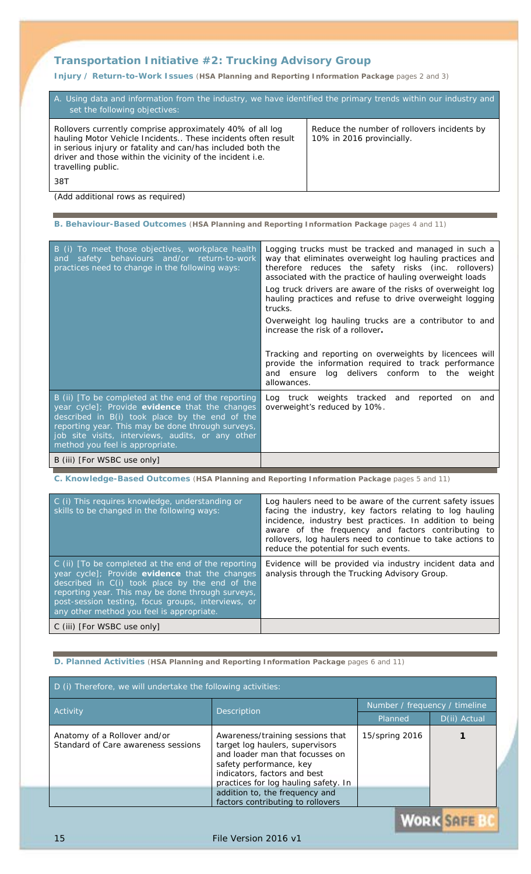## **Transportation Initiative #2:** *Trucking Advisory Group*

**Injury / Return-to-Work Issues** (**HSA Planning and Reporting Information Package** pages 2 and 3)

| A. Using data and information from the industry, we have identified the primary trends within our industry and<br>set the following objectives:                                                                                                                             |                                                                          |  |
|-----------------------------------------------------------------------------------------------------------------------------------------------------------------------------------------------------------------------------------------------------------------------------|--------------------------------------------------------------------------|--|
| Rollovers currently comprise approximately 40% of all log<br>hauling Motor Vehicle Incidents These incidents often result<br>in serious injury or fatality and can/has included both the<br>driver and those within the vicinity of the incident i.e.<br>travelling public. | Reduce the number of rollovers incidents by<br>10% in 2016 provincially. |  |
| 38T                                                                                                                                                                                                                                                                         |                                                                          |  |

*(Add additional rows as required)*

|  | B. Behaviour-Based Outcomes (HSA Planning and Reporting Information Package pages 4 and 11) |  |
|--|---------------------------------------------------------------------------------------------|--|
|--|---------------------------------------------------------------------------------------------|--|

| B (i) To meet those objectives, workplace health<br>safety behaviours and/or return-to-work<br>and<br>practices need to change in the following ways:                                                                                                                                                | Logging trucks must be tracked and managed in such a<br>way that eliminates overweight log hauling practices and<br>therefore reduces the safety risks (inc. rollovers)<br>associated with the practice of hauling overweight loads<br>Log truck drivers are aware of the risks of overweight log<br>hauling practices and refuse to drive overweight logging<br>trucks.<br>Overweight log hauling trucks are a contributor to and<br>increase the risk of a rollover.<br>Tracking and reporting on overweights by licencees will<br>provide the information required to track performance<br>log delivers conform to the weight<br>and ensure |  |
|------------------------------------------------------------------------------------------------------------------------------------------------------------------------------------------------------------------------------------------------------------------------------------------------------|------------------------------------------------------------------------------------------------------------------------------------------------------------------------------------------------------------------------------------------------------------------------------------------------------------------------------------------------------------------------------------------------------------------------------------------------------------------------------------------------------------------------------------------------------------------------------------------------------------------------------------------------|--|
|                                                                                                                                                                                                                                                                                                      | allowances.                                                                                                                                                                                                                                                                                                                                                                                                                                                                                                                                                                                                                                    |  |
| B (ii) [To be completed at the end of the reporting<br>year cycle]; Provide evidence that the changes<br>described in B(i) took place by the end of the<br>reporting year. This may be done through surveys,<br>job site visits, interviews, audits, or any other<br>method you feel is appropriate. | Log truck weights tracked and<br>reported<br>on and<br>overweight's reduced by 10%.                                                                                                                                                                                                                                                                                                                                                                                                                                                                                                                                                            |  |
| B (iii) [For WSBC use only]                                                                                                                                                                                                                                                                          |                                                                                                                                                                                                                                                                                                                                                                                                                                                                                                                                                                                                                                                |  |

**C. Knowledge-Based Outcomes** (**HSA Planning and Reporting Information Package** pages 5 and 11)

| C (i) This requires knowledge, understanding or<br>skills to be changed in the following ways:                                                                                                                                                                                                                  | Log haulers need to be aware of the current safety issues<br>facing the industry, key factors relating to log hauling<br>incidence, industry best practices. In addition to being<br>aware of the frequency and factors contributing to<br>rollovers, log haulers need to continue to take actions to<br>reduce the potential for such events. |
|-----------------------------------------------------------------------------------------------------------------------------------------------------------------------------------------------------------------------------------------------------------------------------------------------------------------|------------------------------------------------------------------------------------------------------------------------------------------------------------------------------------------------------------------------------------------------------------------------------------------------------------------------------------------------|
| C (ii) [To be completed at the end of the reporting<br>year cycle]; Provide evidence that the changes<br>described in C(i) took place by the end of the<br>reporting year. This may be done through surveys,<br>post-session testing, focus groups, interviews, or<br>any other method you feel is appropriate. | Evidence will be provided via industry incident data and<br>analysis through the Trucking Advisory Group.                                                                                                                                                                                                                                      |
| C (iii) [For WSBC use only]                                                                                                                                                                                                                                                                                     |                                                                                                                                                                                                                                                                                                                                                |

**D. Planned Activities** (**HSA Planning and Reporting Information Package** pages 6 and 11)

#### D (i) Therefore, we will undertake the following activities: Activity **Contract Contract Contract Contract Contract Contract Contract Contract Contract Contract Contract Co<br>Contract Contract Contract Contract Contract Contract Contract Contract Contract Contract Contract Contract Co** D(ii) Actual *Anatomy of a Rollover and/or Awareness/training sessions that 15/spring 2016 1 Standard of Care awareness sessions target log haulers, supervisors and loader man that focusses on safety performance, key indicators, factors and best practices for log hauling safety. In addition to, the frequency and factors contributing to rollovers*  **WORK SAFE!**

### 15 File Version 2016 v1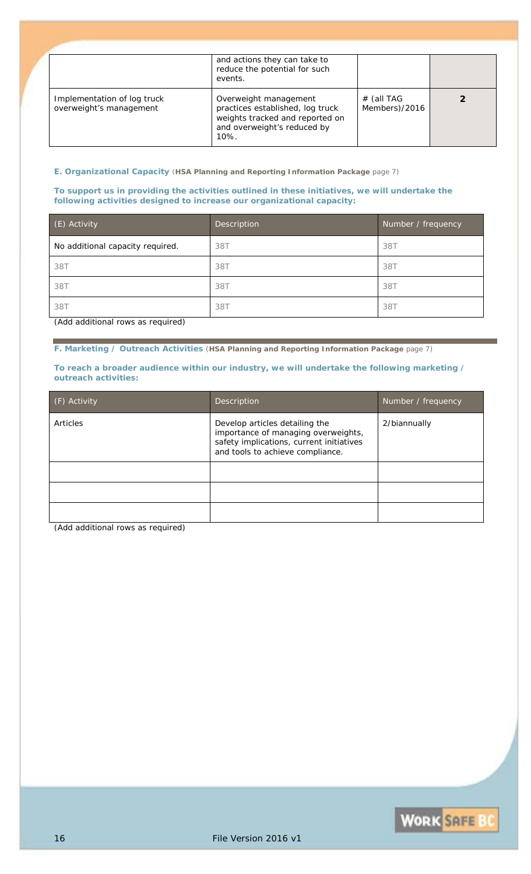|                                                        | and actions they can take to<br>reduce the potential for such<br>events.                                                               |                             |  |
|--------------------------------------------------------|----------------------------------------------------------------------------------------------------------------------------------------|-----------------------------|--|
| Implementation of log truck<br>overweight's management | Overweight management<br>practices established, log truck<br>weights tracked and reported on<br>and overweight's reduced by<br>$10%$ . | # (all TAG<br>Members)/2016 |  |

**E. Organizational Capacity** (**HSA Planning and Reporting Information Package** page 7)

#### **To support us in providing the activities outlined in these initiatives, we will undertake the following activities designed to increase our organizational capacity:**

| (E) Activity                     | Description | Number / frequency |
|----------------------------------|-------------|--------------------|
| No additional capacity required. | 38T         | 38T                |
| 38T                              | 38T         | 38T                |
| 38T                              | 38T         | 38T                |
| 38T                              | 38T         | 38T                |

*(Add additional rows as required)*

**F. Marketing / Outreach Activities** (**HSA Planning and Reporting Information Package** page 7)

#### **To reach a broader audience within our industry, we will undertake the following marketing / outreach activities:**

| (F) Activity | Description                                                                                                                                           | Number / frequency |
|--------------|-------------------------------------------------------------------------------------------------------------------------------------------------------|--------------------|
| Articles     | Develop articles detailing the<br>importance of managing overweights,<br>safety implications, current initiatives<br>and tools to achieve compliance. | 2/biannually       |
|              |                                                                                                                                                       |                    |
|              |                                                                                                                                                       |                    |
|              |                                                                                                                                                       |                    |

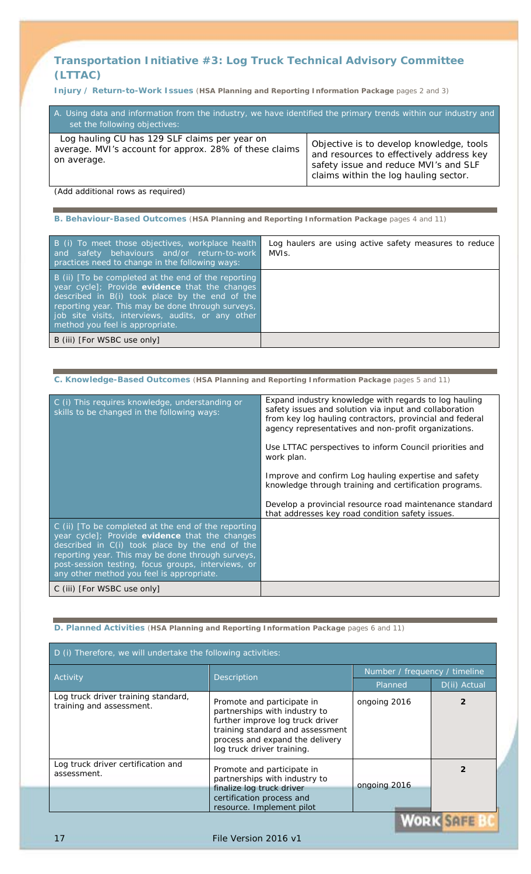## **Transportation Initiative #3:** *Log Truck Technical Advisory Committee (LTTAC)*

**Injury / Return-to-Work Issues** (**HSA Planning and Reporting Information Package** pages 2 and 3)

| A. Using data and information from the industry, we have identified the primary trends within our industry and<br>set the following objectives: |                                                                                                                                                                        |
|-------------------------------------------------------------------------------------------------------------------------------------------------|------------------------------------------------------------------------------------------------------------------------------------------------------------------------|
| Log hauling CU has 129 SLF claims per year on<br>average. MVI's account for approx. 28% of these claims<br>on average.                          | Objective is to develop knowledge, tools<br>and resources to effectively address key<br>safety issue and reduce MVI's and SLF<br>claims within the log hauling sector. |

*(Add additional rows as required)*

**B. Behaviour-Based Outcomes** (**HSA Planning and Reporting Information Package** pages 4 and 11)

| B (i) To meet those objectives, workplace health<br>and safety behaviours and/or return-to-work<br>practices need to change in the following ways:                                                                                                                                                   | Log haulers are using active safety measures to reduce<br>MVIs. |
|------------------------------------------------------------------------------------------------------------------------------------------------------------------------------------------------------------------------------------------------------------------------------------------------------|-----------------------------------------------------------------|
| B (ii) [To be completed at the end of the reporting<br>year cycle]; Provide evidence that the changes<br>described in B(i) took place by the end of the<br>reporting year. This may be done through surveys,<br>job site visits, interviews, audits, or any other<br>method you feel is appropriate. |                                                                 |
| B (iii) [For WSBC use only]                                                                                                                                                                                                                                                                          |                                                                 |

| C. Knowledge-Based Outcomes (HSA Planning and Reporting Information Package pages 5 and 11)                                                                                                                                                                                                                     |                                                                                                                                                                                                                                                                                                                                                                                                                                                                                           |
|-----------------------------------------------------------------------------------------------------------------------------------------------------------------------------------------------------------------------------------------------------------------------------------------------------------------|-------------------------------------------------------------------------------------------------------------------------------------------------------------------------------------------------------------------------------------------------------------------------------------------------------------------------------------------------------------------------------------------------------------------------------------------------------------------------------------------|
| C (i) This requires knowledge, understanding or<br>skills to be changed in the following ways:                                                                                                                                                                                                                  | Expand industry knowledge with regards to log hauling<br>safety issues and solution via input and collaboration<br>from key log hauling contractors, provincial and federal<br>agency representatives and non-profit organizations.<br>Use LTTAC perspectives to inform Council priorities and<br>work plan.<br>Improve and confirm Log hauling expertise and safety<br>knowledge through training and certification programs.<br>Develop a provincial resource road maintenance standard |
|                                                                                                                                                                                                                                                                                                                 | that addresses key road condition safety issues.                                                                                                                                                                                                                                                                                                                                                                                                                                          |
| C (ii) [To be completed at the end of the reporting<br>year cycle]; Provide evidence that the changes<br>described in C(i) took place by the end of the<br>reporting year. This may be done through surveys,<br>post-session testing, focus groups, interviews, or<br>any other method you feel is appropriate. |                                                                                                                                                                                                                                                                                                                                                                                                                                                                                           |
| C (iii) [For WSBC use only]                                                                                                                                                                                                                                                                                     |                                                                                                                                                                                                                                                                                                                                                                                                                                                                                           |

### **D. Planned Activities** (**HSA Planning and Reporting Information Package** pages 6 and 11)

| D (i) Therefore, we will undertake the following activities:    |                                                                                                                                                                                                      |                               |                                |
|-----------------------------------------------------------------|------------------------------------------------------------------------------------------------------------------------------------------------------------------------------------------------------|-------------------------------|--------------------------------|
| Activity                                                        | Description                                                                                                                                                                                          | Number / frequency / timeline |                                |
|                                                                 |                                                                                                                                                                                                      | Planned                       | D(ii) Actual                   |
| Log truck driver training standard,<br>training and assessment. | Promote and participate in<br>partnerships with industry to<br>further improve log truck driver<br>training standard and assessment<br>process and expand the delivery<br>log truck driver training. | ongoing 2016                  |                                |
| Log truck driver certification and<br>assessment.               | Promote and participate in<br>partnerships with industry to<br>finalize log truck driver                                                                                                             | ongoing 2016                  |                                |
|                                                                 | certification process and<br>resource. Implement pilot                                                                                                                                               |                               | <b>LE CONTRACTO COMMENTANT</b> |

JHFE

17 **File Version 2016 v1**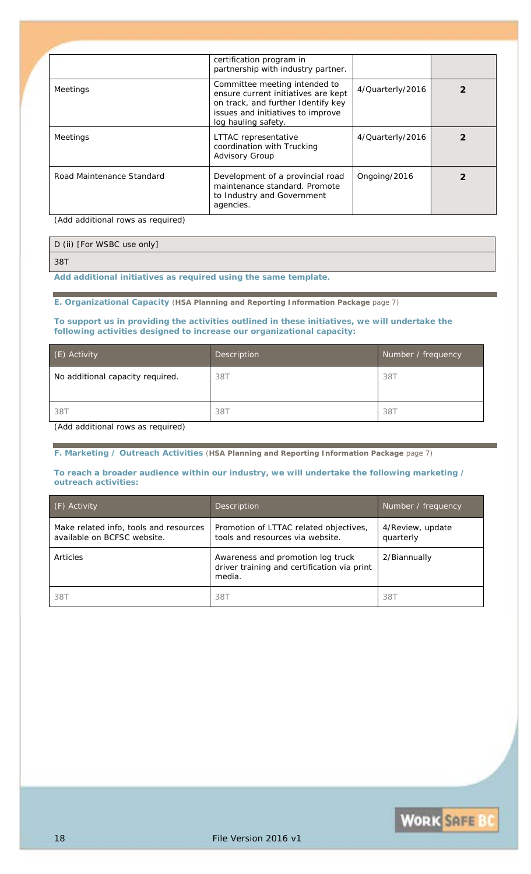|                                                                                                                                                                                                                                                                                                                                         | certification program in<br>partnership with industry partner.                                                                                                         |                  |  |
|-----------------------------------------------------------------------------------------------------------------------------------------------------------------------------------------------------------------------------------------------------------------------------------------------------------------------------------------|------------------------------------------------------------------------------------------------------------------------------------------------------------------------|------------------|--|
| Meetings                                                                                                                                                                                                                                                                                                                                | Committee meeting intended to<br>ensure current initiatives are kept<br>on track, and further Identify key<br>issues and initiatives to improve<br>log hauling safety. | 4/Quarterly/2016 |  |
| Meetings                                                                                                                                                                                                                                                                                                                                | LTTAC representative<br>coordination with Trucking<br><b>Advisory Group</b>                                                                                            | 4/Quarterly/2016 |  |
| Road Maintenance Standard<br>$\sqrt{2}$ and $\sqrt{2}$ and $\sqrt{2}$ and $\sqrt{2}$ and $\sqrt{2}$ and $\sqrt{2}$ and $\sqrt{2}$ and $\sqrt{2}$ and $\sqrt{2}$ and $\sqrt{2}$ and $\sqrt{2}$ and $\sqrt{2}$ and $\sqrt{2}$ and $\sqrt{2}$ and $\sqrt{2}$ and $\sqrt{2}$ and $\sqrt{2}$ and $\sqrt{2}$ and $\sqrt{2$<br>$\cdot$ $\cdot$ | Development of a provincial road<br>maintenance standard. Promote<br>to Industry and Government<br>agencies.                                                           | Ongoing/2016     |  |

*(Add additional rows as required)*

## D (ii) [For WSBC use only]

*38T*

*Add additional initiatives as required using the same template.*

#### **E. Organizational Capacity** (**HSA Planning and Reporting Information Package** page 7)

### **To support us in providing the activities outlined in these initiatives, we will undertake the following activities designed to increase our organizational capacity:**

| (E) Activity                     | Description | Number / frequency |
|----------------------------------|-------------|--------------------|
| No additional capacity required. | 38T         | 38T                |
|                                  |             |                    |
| 38T                              | 38T         | 38T                |

*(Add additional rows as required)*

**F. Marketing / Outreach Activities** (**HSA Planning and Reporting Information Package** page 7)

#### **To reach a broader audience within our industry, we will undertake the following marketing / outreach activities:**

| $( F)$ Activity                                                       | Description                                                                                | Number / frequency            |
|-----------------------------------------------------------------------|--------------------------------------------------------------------------------------------|-------------------------------|
| Make related info, tools and resources<br>available on BCFSC website. | Promotion of LTTAC related objectives,<br>tools and resources via website.                 | 4/Review, update<br>quarterly |
| Articles                                                              | Awareness and promotion log truck<br>driver training and certification via print<br>media. | 2/Biannually                  |
| 38T                                                                   | 38T                                                                                        | 387                           |

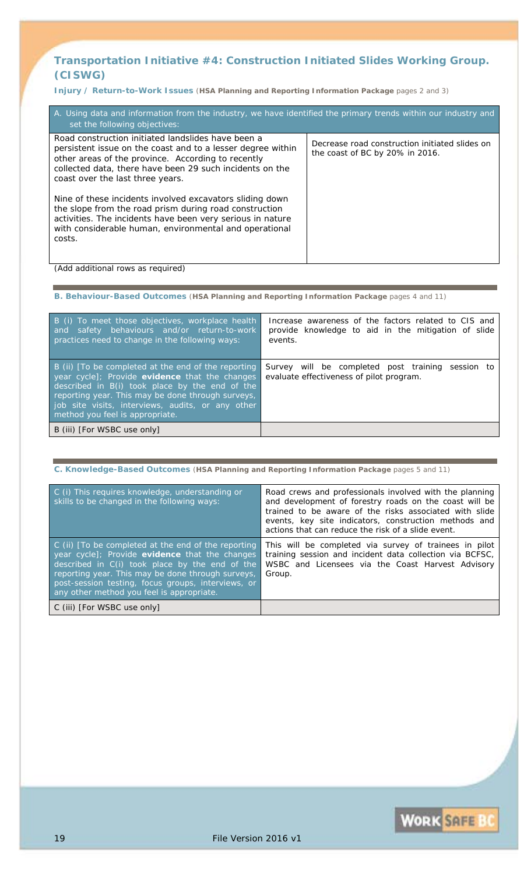## **Transportation Initiative #4:** *Construction Initiated Slides Working Group. (CISWG)*

**Injury / Return-to-Work Issues** (**HSA Planning and Reporting Information Package** pages 2 and 3)

| A. Using data and information from the industry, we have identified the primary trends within our industry and<br>set the following objectives:                                                                                                                         |                                                                                   |  |
|-------------------------------------------------------------------------------------------------------------------------------------------------------------------------------------------------------------------------------------------------------------------------|-----------------------------------------------------------------------------------|--|
| Road construction initiated landslides have been a<br>persistent issue on the coast and to a lesser degree within<br>other areas of the province. According to recently<br>collected data, there have been 29 such incidents on the<br>coast over the last three years. | Decrease road construction initiated slides on<br>the coast of BC by 20% in 2016. |  |
| Nine of these incidents involved excavators sliding down<br>the slope from the road prism during road construction<br>activities. The incidents have been very serious in nature<br>with considerable human, environmental and operational<br>costs.                    |                                                                                   |  |

*(Add additional rows as required)*

**B. Behaviour-Based Outcomes** (**HSA Planning and Reporting Information Package** pages 4 and 11)

| B (i) To meet those objectives, workplace health<br>safety behaviours and/or return-to-work<br>and<br>practices need to change in the following ways:                                                                                                                                                  | Increase awareness of the factors related to CIS and<br>provide knowledge to aid in the mitigation of slide<br>events. |
|--------------------------------------------------------------------------------------------------------------------------------------------------------------------------------------------------------------------------------------------------------------------------------------------------------|------------------------------------------------------------------------------------------------------------------------|
| B (ii) $[To be completed at the end of the reporting$<br>year cycle]; Provide evidence that the changes<br>described in B(i) took place by the end of the<br>reporting year. This may be done through surveys,<br>job site visits, interviews, audits, or any other<br>method you feel is appropriate. | Survey will be completed post training session to<br>evaluate effectiveness of pilot program.                          |
| B (iii) [For WSBC use only]                                                                                                                                                                                                                                                                            |                                                                                                                        |

**C. Knowledge-Based Outcomes** (**HSA Planning and Reporting Information Package** pages 5 and 11)

| C (i) This requires knowledge, understanding or<br>skills to be changed in the following ways:                                                                                                                                                                                                                  | Road crews and professionals involved with the planning<br>and development of forestry roads on the coast will be<br>trained to be aware of the risks associated with slide<br>events, key site indicators, construction methods and<br>actions that can reduce the risk of a slide event. |
|-----------------------------------------------------------------------------------------------------------------------------------------------------------------------------------------------------------------------------------------------------------------------------------------------------------------|--------------------------------------------------------------------------------------------------------------------------------------------------------------------------------------------------------------------------------------------------------------------------------------------|
| C (ii) [To be completed at the end of the reporting<br>year cycle]; Provide evidence that the changes<br>described in C(i) took place by the end of the<br>reporting year. This may be done through surveys,<br>post-session testing, focus groups, interviews, or<br>any other method you feel is appropriate. | This will be completed via survey of trainees in pilot<br>training session and incident data collection via BCFSC,<br>WSBC and Licensees via the Coast Harvest Advisory<br>Group.                                                                                                          |
| C (iii) [For WSBC use only]                                                                                                                                                                                                                                                                                     |                                                                                                                                                                                                                                                                                            |

**WORK SAFE BO**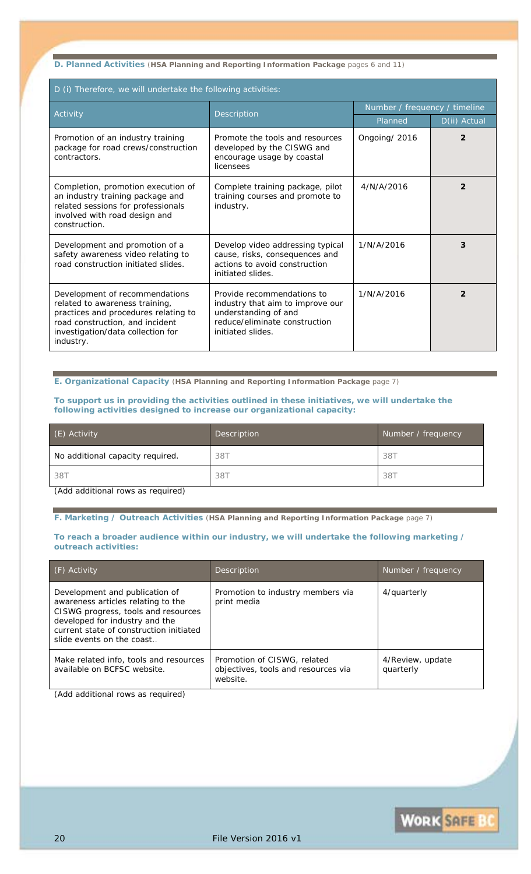**D. Planned Activities** (**HSA Planning and Reporting Information Package** pages 6 and 11)

| D (i) Therefore, we will undertake the following activities:                                                                                                                                  |                                                                                                                                              |                               |                |  |
|-----------------------------------------------------------------------------------------------------------------------------------------------------------------------------------------------|----------------------------------------------------------------------------------------------------------------------------------------------|-------------------------------|----------------|--|
| Activity                                                                                                                                                                                      | Description                                                                                                                                  | Number / frequency / timeline |                |  |
|                                                                                                                                                                                               |                                                                                                                                              | Planned                       | D(ii) Actual   |  |
| Promotion of an industry training<br>package for road crews/construction<br>contractors.                                                                                                      | Promote the tools and resources<br>developed by the CISWG and<br>encourage usage by coastal<br>licensees                                     | Ongoing/ 2016                 | $\overline{c}$ |  |
| Completion, promotion execution of<br>an industry training package and<br>related sessions for professionals<br>involved with road design and<br>construction.                                | Complete training package, pilot<br>training courses and promote to<br>industry.                                                             | 4/N/A/2016                    | $\overline{2}$ |  |
| Development and promotion of a<br>safety awareness video relating to<br>road construction initiated slides.                                                                                   | Develop video addressing typical<br>cause, risks, consequences and<br>actions to avoid construction<br>initiated slides.                     | 1/N/A/2016                    | 3              |  |
| Development of recommendations<br>related to awareness training,<br>practices and procedures relating to<br>road construction, and incident<br>investigation/data collection for<br>industry. | Provide recommendations to<br>industry that aim to improve our<br>understanding of and<br>reduce/eliminate construction<br>initiated slides. | 1/N/A/2016                    | $\overline{2}$ |  |

**E. Organizational Capacity** (**HSA Planning and Reporting Information Package** page 7)

#### **To support us in providing the activities outlined in these initiatives, we will undertake the following activities designed to increase our organizational capacity:**

| (E) Activity                                              | Description | Number / frequency |  |
|-----------------------------------------------------------|-------------|--------------------|--|
| No additional capacity required.                          | 38T         | 387                |  |
| 38T                                                       | 38T         | 38T                |  |
| $\ell$ and $\ell$ and distinguished and account on $\ell$ |             |                    |  |

*(Add additional rows as required)*

**F. Marketing / Outreach Activities** (**HSA Planning and Reporting Information Package** page 7)

#### **To reach a broader audience within our industry, we will undertake the following marketing / outreach activities:**

| (F) Activity                                                                                                                                                                                                           | <b>Description</b>                                                             | Number / frequency            |
|------------------------------------------------------------------------------------------------------------------------------------------------------------------------------------------------------------------------|--------------------------------------------------------------------------------|-------------------------------|
| Development and publication of<br>awareness articles relating to the<br>CISWG progress, tools and resources<br>developed for industry and the<br>current state of construction initiated<br>slide events on the coast. | Promotion to industry members via<br>print media                               | 4/quarterly                   |
| Make related info, tools and resources<br>available on BCFSC website.                                                                                                                                                  | Promotion of CISWG, related<br>objectives, tools and resources via<br>website. | 4/Review, update<br>quarterly |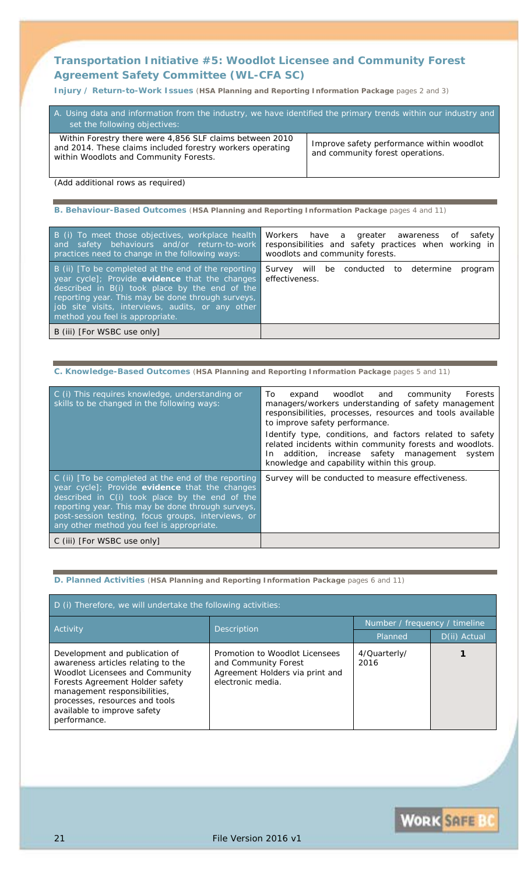## **Transportation Initiative #5:** *Woodlot Licensee and Community Forest Agreement Safety Committee (WL-CFA SC)*

**Injury / Return-to-Work Issues** (**HSA Planning and Reporting Information Package** pages 2 and 3)

| A. Using data and information from the industry, we have identified the primary trends within our industry and<br>set the following objectives:                  |                                                                               |
|------------------------------------------------------------------------------------------------------------------------------------------------------------------|-------------------------------------------------------------------------------|
| Within Forestry there were 4,856 SLF claims between 2010<br>and 2014. These claims included forestry workers operating<br>within Woodlots and Community Forests. | Improve safety performance within woodlot<br>and community forest operations. |

*(Add additional rows as required)*

**B. Behaviour-Based Outcomes** (**HSA Planning and Reporting Information Package** pages 4 and 11)

| B (i) To meet those objectives, workplace health<br>and safety behaviours and/or return-to-work<br>practices need to change in the following ways:                                                                                                                                                   | Workers have a greater awareness<br>safety<br>of<br>responsibilities and safety practices when working in<br>woodlots and community forests. |
|------------------------------------------------------------------------------------------------------------------------------------------------------------------------------------------------------------------------------------------------------------------------------------------------------|----------------------------------------------------------------------------------------------------------------------------------------------|
| B (ii) [To be completed at the end of the reporting<br>year cycle]; Provide evidence that the changes<br>described in B(i) took place by the end of the<br>reporting year. This may be done through surveys,<br>job site visits, interviews, audits, or any other<br>method you feel is appropriate. | Survey will be conducted to determine<br>program<br>effectiveness.                                                                           |
| B (iii) [For WSBC use only]                                                                                                                                                                                                                                                                          |                                                                                                                                              |

| C. Knowledge-Based Outcomes (HSA Planning and Reporting Information Package pages 5 and 11) |  |  |  |
|---------------------------------------------------------------------------------------------|--|--|--|
|                                                                                             |  |  |  |

| C (i) This requires knowledge, understanding or<br>skills to be changed in the following ways:                                                                                                                                                                                                                  | woodlot and community<br>expand<br>To.<br>Forests<br>managers/workers understanding of safety management<br>responsibilities, processes, resources and tools available<br>to improve safety performance.                    |
|-----------------------------------------------------------------------------------------------------------------------------------------------------------------------------------------------------------------------------------------------------------------------------------------------------------------|-----------------------------------------------------------------------------------------------------------------------------------------------------------------------------------------------------------------------------|
|                                                                                                                                                                                                                                                                                                                 | Identify type, conditions, and factors related to safety<br>related incidents within community forests and woodlots.<br>addition, increase safety management system<br>In In<br>knowledge and capability within this group. |
| C (ii) [To be completed at the end of the reporting<br>year cycle]; Provide evidence that the changes<br>described in C(i) took place by the end of the<br>reporting year. This may be done through surveys,<br>post-session testing, focus groups, interviews, or<br>any other method you feel is appropriate. | Survey will be conducted to measure effectiveness.                                                                                                                                                                          |
| C (iii) [For WSBC use only]                                                                                                                                                                                                                                                                                     |                                                                                                                                                                                                                             |

#### **D. Planned Activities** (**HSA Planning and Reporting Information Package** pages 6 and 11)

| D (i) Therefore, we will undertake the following activities:                                                                                                                                                                                                |                                                                                                                |                               |              |  |
|-------------------------------------------------------------------------------------------------------------------------------------------------------------------------------------------------------------------------------------------------------------|----------------------------------------------------------------------------------------------------------------|-------------------------------|--------------|--|
| Activity                                                                                                                                                                                                                                                    | <b>Description</b>                                                                                             | Number / frequency / timeline |              |  |
|                                                                                                                                                                                                                                                             |                                                                                                                | Planned                       | D(ii) Actual |  |
| Development and publication of<br>awareness articles relating to the<br>Woodlot Licensees and Community<br>Forests Agreement Holder safety<br>management responsibilities,<br>processes, resources and tools<br>available to improve safety<br>performance. | Promotion to Woodlot Licensees<br>and Community Forest<br>Agreement Holders via print and<br>electronic media. | 4/Quarterly/<br>2016          |              |  |

**WORK SAFE BO**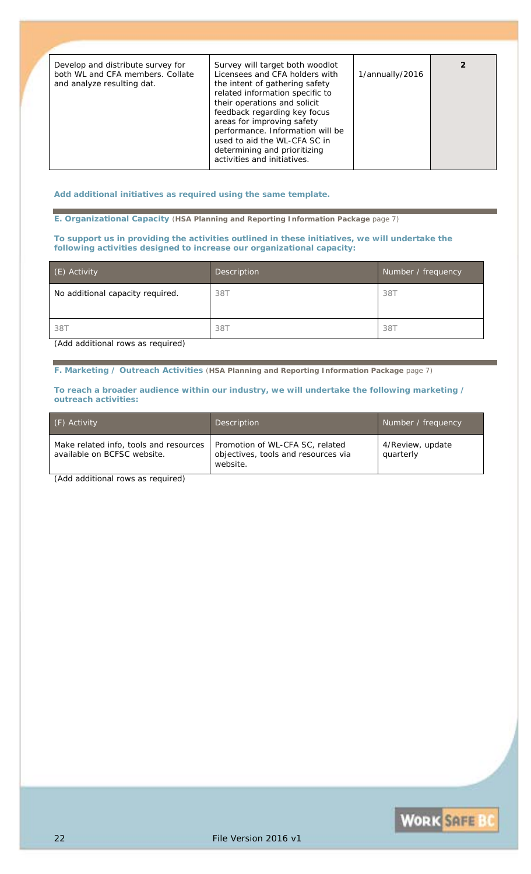| Develop and distribute survey for<br>both WL and CFA members. Collate<br>and analyze resulting dat. | Survey will target both woodlot<br>Licensees and CFA holders with<br>the intent of gathering safety<br>related information specific to<br>their operations and solicit<br>feedback regarding key focus<br>areas for improving safety<br>performance. Information will be<br>used to aid the WL-CFA SC in<br>determining and prioritizing<br>activities and initiatives. | 1/annually/2016 |  |
|-----------------------------------------------------------------------------------------------------|-------------------------------------------------------------------------------------------------------------------------------------------------------------------------------------------------------------------------------------------------------------------------------------------------------------------------------------------------------------------------|-----------------|--|

*Add additional initiatives as required using the same template.*

**E. Organizational Capacity** (**HSA Planning and Reporting Information Package** page 7)

**To support us in providing the activities outlined in these initiatives, we will undertake the following activities designed to increase our organizational capacity:**

| (E) Activity                     | Description | Number / frequency |
|----------------------------------|-------------|--------------------|
| No additional capacity required. | 38T         | 38T                |
| 38T                              | 38T         | 38T                |

*(Add additional rows as required)*

**F. Marketing / Outreach Activities** (**HSA Planning and Reporting Information Package** page 7)

**To reach a broader audience within our industry, we will undertake the following marketing / outreach activities:**

| (F) Activity                                                          | <b>Description</b>                                                                 | Number / frequency            |
|-----------------------------------------------------------------------|------------------------------------------------------------------------------------|-------------------------------|
| Make related info, tools and resources<br>available on BCFSC website. | Promotion of WL-CFA SC, related<br>objectives, tools and resources via<br>website. | 4/Review, update<br>quarterly |

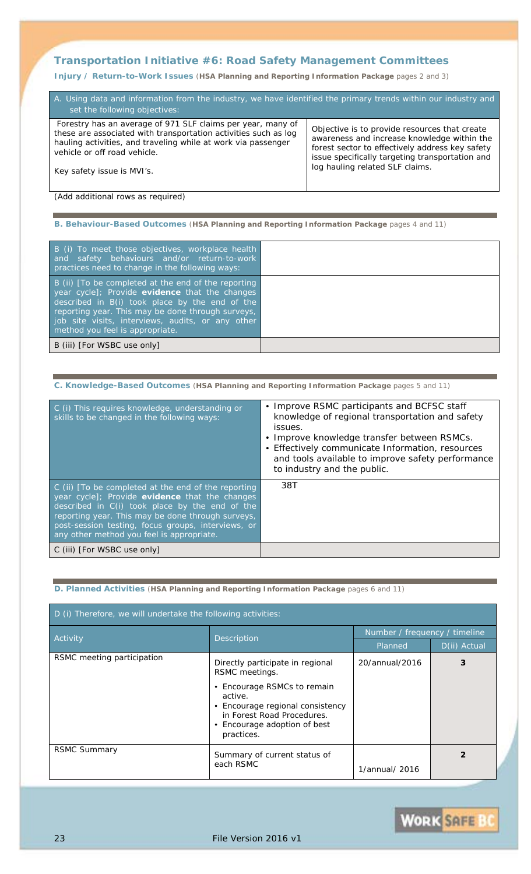## **Transportation Initiative #6:** *Road Safety Management Committees*

**Injury / Return-to-Work Issues** (**HSA Planning and Reporting Information Package** pages 2 and 3)

| A. Using data and information from the industry, we have identified the primary trends within our industry and<br>set the following objectives:                                                                                                               |                                                                                                                                                                                                                                       |  |
|---------------------------------------------------------------------------------------------------------------------------------------------------------------------------------------------------------------------------------------------------------------|---------------------------------------------------------------------------------------------------------------------------------------------------------------------------------------------------------------------------------------|--|
| Forestry has an average of 971 SLF claims per year, many of<br>these are associated with transportation activities such as log<br>hauling activities, and traveling while at work via passenger<br>vehicle or off road vehicle.<br>Key safety issue is MVI's. | Objective is to provide resources that create<br>awareness and increase knowledge within the<br>forest sector to effectively address key safety<br>issue specifically targeting transportation and<br>log hauling related SLF claims. |  |
|                                                                                                                                                                                                                                                               |                                                                                                                                                                                                                                       |  |

*(Add additional rows as required)*

**B. Behaviour-Based Outcomes** (**HSA Planning and Reporting Information Package** pages 4 and 11)

| B (i) To meet those objectives, workplace health<br>and safety behaviours and/or return-to-work<br>practices need to change in the following ways:                                                                                                                                                   |  |
|------------------------------------------------------------------------------------------------------------------------------------------------------------------------------------------------------------------------------------------------------------------------------------------------------|--|
| B (ii) [To be completed at the end of the reporting<br>year cycle]; Provide evidence that the changes<br>described in B(i) took place by the end of the<br>reporting year. This may be done through surveys,<br>job site visits, interviews, audits, or any other<br>method you feel is appropriate. |  |
| B (iii) [For WSBC use only]                                                                                                                                                                                                                                                                          |  |

|  |  | C. Knowledge-Based Outcomes (HSA Planning and Reporting Information Package pages 5 and 11) |
|--|--|---------------------------------------------------------------------------------------------|
|--|--|---------------------------------------------------------------------------------------------|

| C (i) This requires knowledge, understanding or<br>skills to be changed in the following ways:                                                                                                                                                                                                                  | • Improve RSMC participants and BCFSC staff<br>knowledge of regional transportation and safety<br>issues.<br>• Improve knowledge transfer between RSMCs.<br>• Effectively communicate Information, resources<br>and tools available to improve safety performance<br>to industry and the public. |
|-----------------------------------------------------------------------------------------------------------------------------------------------------------------------------------------------------------------------------------------------------------------------------------------------------------------|--------------------------------------------------------------------------------------------------------------------------------------------------------------------------------------------------------------------------------------------------------------------------------------------------|
| C (ii) [To be completed at the end of the reporting<br>year cycle]; Provide evidence that the changes<br>described in C(i) took place by the end of the<br>reporting year. This may be done through surveys,<br>post-session testing, focus groups, interviews, or<br>any other method you feel is appropriate. | 38T                                                                                                                                                                                                                                                                                              |
| C (iii) [For WSBC use only]                                                                                                                                                                                                                                                                                     |                                                                                                                                                                                                                                                                                                  |

#### **D. Planned Activities** (**HSA Planning and Reporting Information Package** pages 6 and 11)

| D (i) Therefore, we will undertake the following activities: |                                                                                                                                                                                                                         |                               |                |  |
|--------------------------------------------------------------|-------------------------------------------------------------------------------------------------------------------------------------------------------------------------------------------------------------------------|-------------------------------|----------------|--|
| Activity                                                     |                                                                                                                                                                                                                         | Number / frequency / timeline |                |  |
|                                                              | Description                                                                                                                                                                                                             | Planned                       | D(ii) Actual   |  |
| RSMC meeting participation                                   | Directly participate in regional<br>RSMC meetings.<br>• Encourage RSMCs to remain<br>active.<br>Encourage regional consistency<br>$\bullet$<br>in Forest Road Procedures.<br>• Encourage adoption of best<br>practices. | 20/annual/2016                | 3              |  |
| <b>RSMC Summary</b>                                          | Summary of current status of<br>each RSMC                                                                                                                                                                               | 1/annual/ 2016                | $\overline{2}$ |  |

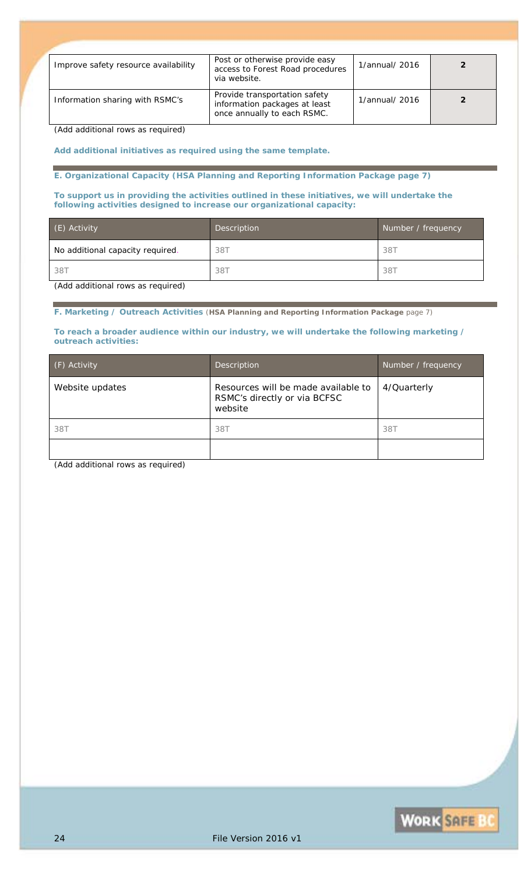| Improve safety resource availability | Post or otherwise provide easy<br>access to Forest Road procedures<br>via website.            | 1/annual/ 2016 |  |
|--------------------------------------|-----------------------------------------------------------------------------------------------|----------------|--|
| Information sharing with RSMC's      | Provide transportation safety<br>information packages at least<br>once annually to each RSMC. | 1/annual/ 2016 |  |

*(Add additional rows as required)*

*Add additional initiatives as required using the same template.*

**E. Organizational Capacity (HSA Planning and Reporting Information Package page 7)**

**To support us in providing the activities outlined in these initiatives, we will undertake the following activities designed to increase our organizational capacity:**

| (E) Activity                                                                                                                                                                                                                                                                                                            | Description | Number / frequency |
|-------------------------------------------------------------------------------------------------------------------------------------------------------------------------------------------------------------------------------------------------------------------------------------------------------------------------|-------------|--------------------|
| No additional capacity required.                                                                                                                                                                                                                                                                                        | 38T         | 387                |
| 38T                                                                                                                                                                                                                                                                                                                     | 38T         | 38T                |
| $\sqrt{a}$ , $\sqrt{a}$ , $\sqrt{a}$ , $\sqrt{a}$ , $\sqrt{a}$ , $\sqrt{a}$ , $\sqrt{a}$ , $\sqrt{a}$ , $\sqrt{a}$ , $\sqrt{a}$ , $\sqrt{a}$ , $\sqrt{a}$ , $\sqrt{a}$ , $\sqrt{a}$ , $\sqrt{a}$ , $\sqrt{a}$ , $\sqrt{a}$ , $\sqrt{a}$ , $\sqrt{a}$ , $\sqrt{a}$ , $\sqrt{a}$ , $\sqrt{a}$ ,<br>$\sim$<br>$\mathbf{r}$ |             |                    |

*(Add additional rows as required)*

**F. Marketing / Outreach Activities** (**HSA Planning and Reporting Information Package** page 7)

#### **To reach a broader audience within our industry, we will undertake the following marketing / outreach activities:**

| (F) Activity    | <b>Description</b>                                                             | Number / frequency |
|-----------------|--------------------------------------------------------------------------------|--------------------|
| Website updates | Resources will be made available to<br>RSMC's directly or via BCFSC<br>website | 4/Quarterly        |
| 38T             | 38T                                                                            | 387                |
|                 |                                                                                |                    |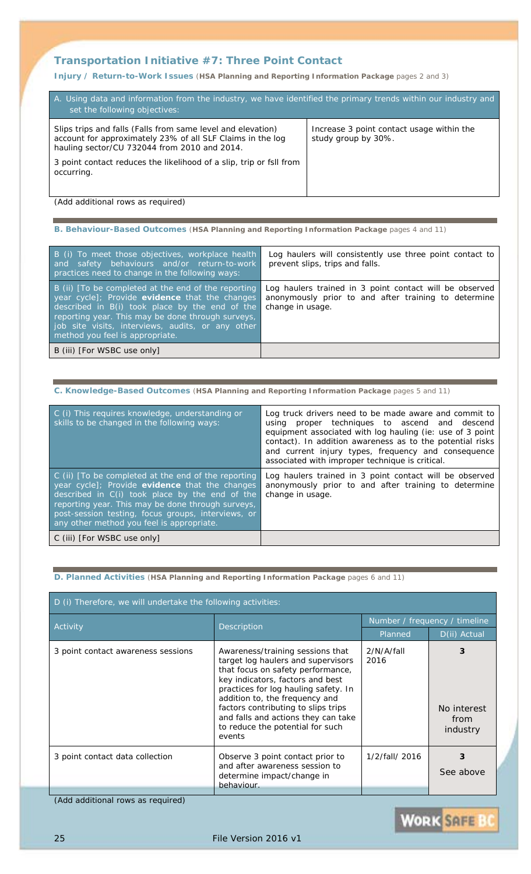## **Transportation Initiative #7:** *Three Point Contact*

**Injury / Return-to-Work Issues** (**HSA Planning and Reporting Information Package** pages 2 and 3)

| A. Using data and information from the industry, we have identified the primary trends within our industry and<br>set the following objectives:                           |                                                                  |  |
|---------------------------------------------------------------------------------------------------------------------------------------------------------------------------|------------------------------------------------------------------|--|
| Slips trips and falls (Falls from same level and elevation)<br>account for approximately 23% of all SLF Claims in the log<br>hauling sector/CU 732044 from 2010 and 2014. | Increase 3 point contact usage within the<br>study group by 30%. |  |
| 3 point contact reduces the likelihood of a slip, trip or fsll from<br>occurring.                                                                                         |                                                                  |  |

*(Add additional rows as required)*

| B. Behaviour-Based Outcomes (HSA Planning and Reporting Information Package pages 4 and 11) |  |  |  |
|---------------------------------------------------------------------------------------------|--|--|--|

| B (i) To meet those objectives, workplace health<br>and safety behaviours and/or return-to-work<br>practices need to change in the following ways:                                                                                                                                                   | Log haulers will consistently use three point contact to<br>prevent slips, trips and falls.                                         |
|------------------------------------------------------------------------------------------------------------------------------------------------------------------------------------------------------------------------------------------------------------------------------------------------------|-------------------------------------------------------------------------------------------------------------------------------------|
| B (ii) [To be completed at the end of the reporting<br>year cycle]; Provide evidence that the changes<br>described in B(i) took place by the end of the<br>reporting year. This may be done through surveys,<br>job site visits, interviews, audits, or any other<br>method you feel is appropriate. | Log haulers trained in 3 point contact will be observed<br>anonymously prior to and after training to determine<br>change in usage. |
| B (iii) [For WSBC use only]                                                                                                                                                                                                                                                                          |                                                                                                                                     |

| C. Knowledge-Based Outcomes (HSA Planning and Reporting Information Package pages 5 and 11)                                                                                                                                                                                                                         |                                                                                                                                                                                                                                                                                                                                            |  |  |  |
|---------------------------------------------------------------------------------------------------------------------------------------------------------------------------------------------------------------------------------------------------------------------------------------------------------------------|--------------------------------------------------------------------------------------------------------------------------------------------------------------------------------------------------------------------------------------------------------------------------------------------------------------------------------------------|--|--|--|
| C (i) This requires knowledge, understanding or<br>skills to be changed in the following ways:                                                                                                                                                                                                                      | Log truck drivers need to be made aware and commit to<br>using proper techniques to ascend and descend<br>equipment associated with log hauling (ie: use of 3 point<br>contact). In addition awareness as to the potential risks<br>and current injury types, frequency and consequence<br>associated with improper technique is critical. |  |  |  |
| $C$ (ii) $T$ o be completed at the end of the reporting<br>year cycle]; Provide evidence that the changes<br>described in C(i) took place by the end of the<br>reporting year. This may be done through surveys,<br>post-session testing, focus groups, interviews, or<br>any other method you feel is appropriate. | Log haulers trained in 3 point contact will be observed<br>anonymously prior to and after training to determine<br>change in usage.                                                                                                                                                                                                        |  |  |  |
| C (iii) [For WSBC use only]                                                                                                                                                                                                                                                                                         |                                                                                                                                                                                                                                                                                                                                            |  |  |  |

## **D. Planned Activities** (**HSA Planning and Reporting Information Package** pages 6 and 11)

| D (i) Therefore, we will undertake the following activities: |                                                                                                                                                                                                                                                                                                                                                       |                               |                                      |  |
|--------------------------------------------------------------|-------------------------------------------------------------------------------------------------------------------------------------------------------------------------------------------------------------------------------------------------------------------------------------------------------------------------------------------------------|-------------------------------|--------------------------------------|--|
| Activity                                                     | <b>Description</b>                                                                                                                                                                                                                                                                                                                                    | Number / frequency / timeline |                                      |  |
|                                                              |                                                                                                                                                                                                                                                                                                                                                       | Planned                       | D(ii) Actual                         |  |
| 3 point contact awareness sessions                           | Awareness/training sessions that<br>target log haulers and supervisors<br>that focus on safety performance,<br>key indicators, factors and best<br>practices for log hauling safety. In<br>addition to, the frequency and<br>factors contributing to slips trips<br>and falls and actions they can take<br>to reduce the potential for such<br>events | 2/N/A/fall<br>2016            | 3<br>No interest<br>from<br>industry |  |
| 3 point contact data collection                              | Observe 3 point contact prior to<br>and after awareness session to<br>determine impact/change in<br>behaviour.                                                                                                                                                                                                                                        | 1/2/fall/ 2016                | 3<br>See above                       |  |

*(Add additional rows as required)*

**WORK SAFE B**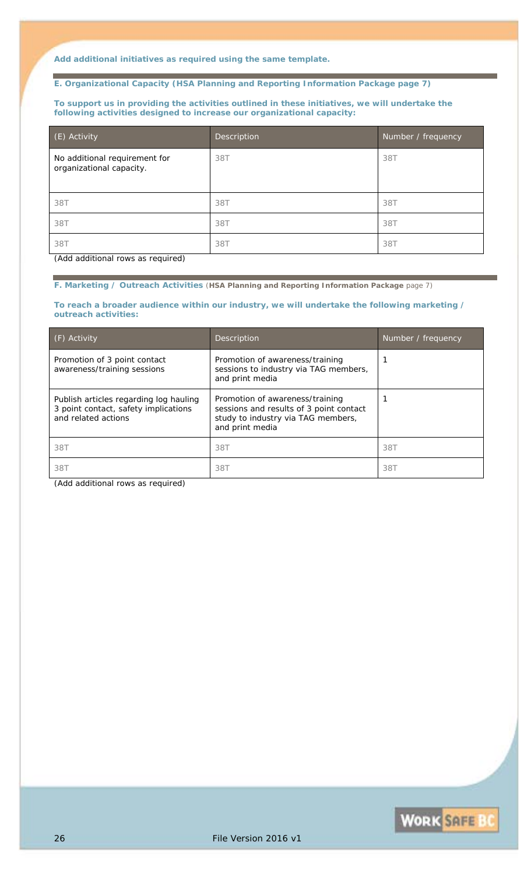*Add additional initiatives as required using the same template.*

#### **E. Organizational Capacity (HSA Planning and Reporting Information Package page 7)**

**To support us in providing the activities outlined in these initiatives, we will undertake the following activities designed to increase our organizational capacity:**

| (E) Activity                                              | <b>Description</b> | Number / frequency |
|-----------------------------------------------------------|--------------------|--------------------|
| No additional requirement for<br>organizational capacity. | 38T                | 38T                |
| 38T                                                       | 38T                | 38T                |
| 38T                                                       | 38T                | 38T                |
| 38T                                                       | 38T                | 38T                |

*(Add additional rows as required)*

**F. Marketing / Outreach Activities** (**HSA Planning and Reporting Information Package** page 7)

**To reach a broader audience within our industry, we will undertake the following marketing / outreach activities:**

| $( F)$ Activity                                                                                       | <b>Description</b>                                                                                                                  | Number / frequency |
|-------------------------------------------------------------------------------------------------------|-------------------------------------------------------------------------------------------------------------------------------------|--------------------|
| Promotion of 3 point contact<br>awareness/training sessions                                           | Promotion of awareness/training<br>sessions to industry via TAG members,<br>and print media                                         |                    |
| Publish articles regarding log hauling<br>3 point contact, safety implications<br>and related actions | Promotion of awareness/training<br>sessions and results of 3 point contact<br>study to industry via TAG members,<br>and print media |                    |
| 38T                                                                                                   | 38T                                                                                                                                 | 38T                |
| 38T                                                                                                   | 38T                                                                                                                                 | 38T                |

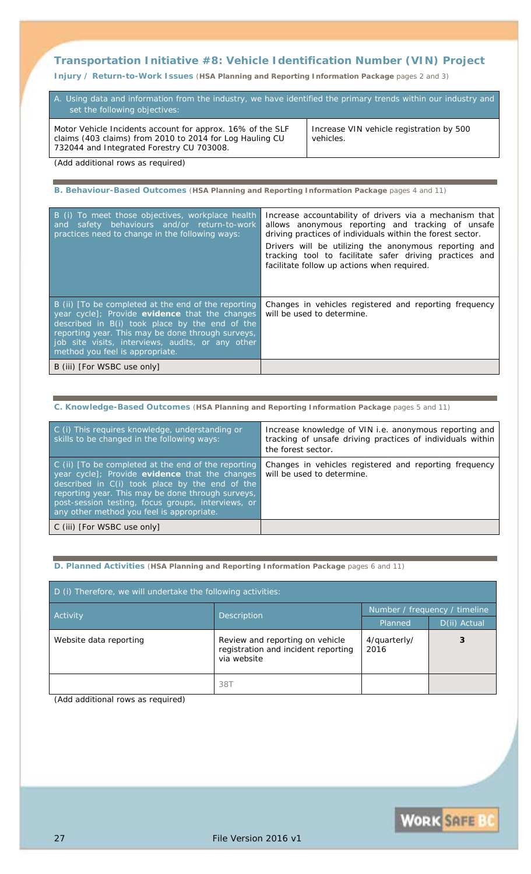## **Transportation Initiative #8:** *Vehicle Identification Number (VIN) Project*

**Injury / Return-to-Work Issues** (**HSA Planning and Reporting Information Package** pages 2 and 3)

| A. Using data and information from the industry, we have identified the primary trends within our industry and<br>set the following objectives:                     |                                                       |  |
|---------------------------------------------------------------------------------------------------------------------------------------------------------------------|-------------------------------------------------------|--|
| Motor Vehicle Incidents account for approx. 16% of the SLF<br>claims (403 claims) from 2010 to 2014 for Log Hauling CU<br>732044 and Integrated Forestry CU 703008. | Increase VIN vehicle registration by 500<br>vehicles. |  |
| (Add additional rows as required)                                                                                                                                   |                                                       |  |

**B. Behaviour-Based Outcomes** (**HSA Planning and Reporting Information Package** pages 4 and 11)

| Increase accountability of drivers via a mechanism that<br>safety behaviours and/or return-to-work<br>allows anonymous reporting and tracking of unsafe<br>and<br>driving practices of individuals within the forest sector.<br>Drivers will be utilizing the anonymous reporting and<br>tracking tool to facilitate safer driving practices and<br>facilitate follow up actions when required.<br>Changes in vehicles registered and reporting frequency<br>will be used to determine.<br>B (iii) [For WSBC use only] |                                                                                                                                                                                                                                                                                                      |  |
|------------------------------------------------------------------------------------------------------------------------------------------------------------------------------------------------------------------------------------------------------------------------------------------------------------------------------------------------------------------------------------------------------------------------------------------------------------------------------------------------------------------------|------------------------------------------------------------------------------------------------------------------------------------------------------------------------------------------------------------------------------------------------------------------------------------------------------|--|
|                                                                                                                                                                                                                                                                                                                                                                                                                                                                                                                        | B (i) To meet those objectives, workplace health<br>practices need to change in the following ways:                                                                                                                                                                                                  |  |
|                                                                                                                                                                                                                                                                                                                                                                                                                                                                                                                        | B (ii) [To be completed at the end of the reporting<br>year cycle]; Provide evidence that the changes<br>described in B(i) took place by the end of the<br>reporting year. This may be done through surveys,<br>job site visits, interviews, audits, or any other<br>method you feel is appropriate. |  |
|                                                                                                                                                                                                                                                                                                                                                                                                                                                                                                                        |                                                                                                                                                                                                                                                                                                      |  |

### **C. Knowledge-Based Outcomes** (**HSA Planning and Reporting Information Package** pages 5 and 11)

| C (i) This requires knowledge, understanding or<br>skills to be changed in the following ways:                                                                                                                                                                                                                  | Increase knowledge of VIN i.e. anonymous reporting and<br>tracking of unsafe driving practices of individuals within<br>the forest sector. |
|-----------------------------------------------------------------------------------------------------------------------------------------------------------------------------------------------------------------------------------------------------------------------------------------------------------------|--------------------------------------------------------------------------------------------------------------------------------------------|
| C (ii) [To be completed at the end of the reporting<br>year cycle]; Provide evidence that the changes<br>described in C(i) took place by the end of the<br>reporting year. This may be done through surveys,<br>post-session testing, focus groups, interviews, or<br>any other method you feel is appropriate. | Changes in vehicles registered and reporting frequency<br>will be used to determine.                                                       |
| C (iii) [For WSBC use only]                                                                                                                                                                                                                                                                                     |                                                                                                                                            |

#### **D. Planned Activities** (**HSA Planning and Reporting Information Package** pages 6 and 11)

| D (i) Therefore, we will undertake the following activities: |                                                                                       |                               |              |
|--------------------------------------------------------------|---------------------------------------------------------------------------------------|-------------------------------|--------------|
| Activity<br>Description                                      |                                                                                       | Number / frequency / timeline |              |
|                                                              |                                                                                       | Planned                       | D(ii) Actual |
| Website data reporting                                       | Review and reporting on vehicle<br>registration and incident reporting<br>via website | 4/quarterly/<br>2016          |              |
|                                                              | 38T                                                                                   |                               |              |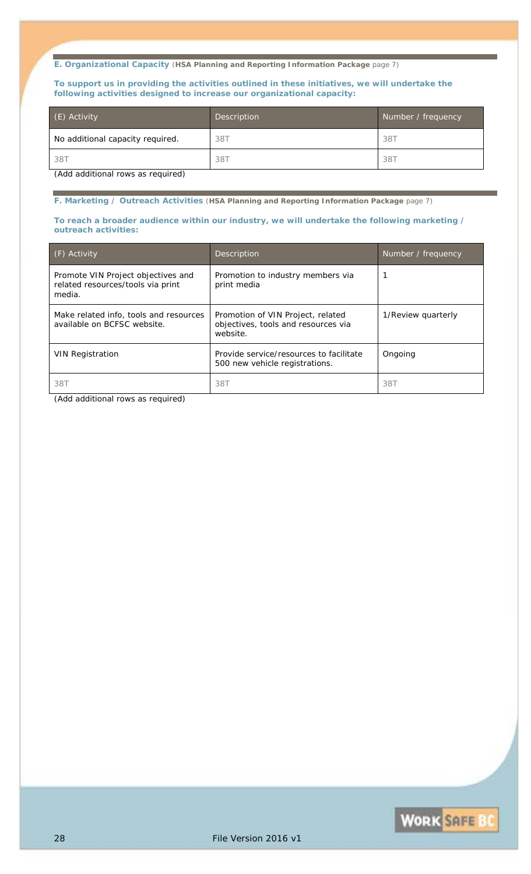#### **E. Organizational Capacity** (**HSA Planning and Reporting Information Package** page 7)

#### **To support us in providing the activities outlined in these initiatives, we will undertake the following activities designed to increase our organizational capacity:**

| (E) Activity                      | Description | Number / frequency |
|-----------------------------------|-------------|--------------------|
| No additional capacity required.  | 38T         | 387                |
| 38T                               | 38T         | 38T                |
| (Add additional rows as required) |             |                    |

#### **F. Marketing / Outreach Activities** (**HSA Planning and Reporting Information Package** page 7)

#### **To reach a broader audience within our industry, we will undertake the following marketing / outreach activities:**

| $(F)$ Activity                                                                    | Description                                                                          | Number / frequency |
|-----------------------------------------------------------------------------------|--------------------------------------------------------------------------------------|--------------------|
| Promote VIN Project objectives and<br>related resources/tools via print<br>media. | Promotion to industry members via<br>print media                                     |                    |
| Make related info, tools and resources<br>available on BCFSC website.             | Promotion of VIN Project, related<br>objectives, tools and resources via<br>website. | 1/Review quarterly |
| <b>VIN Registration</b>                                                           | Provide service/resources to facilitate<br>500 new vehicle registrations.            | Ongoing            |
| 38T                                                                               | 38T                                                                                  | 387                |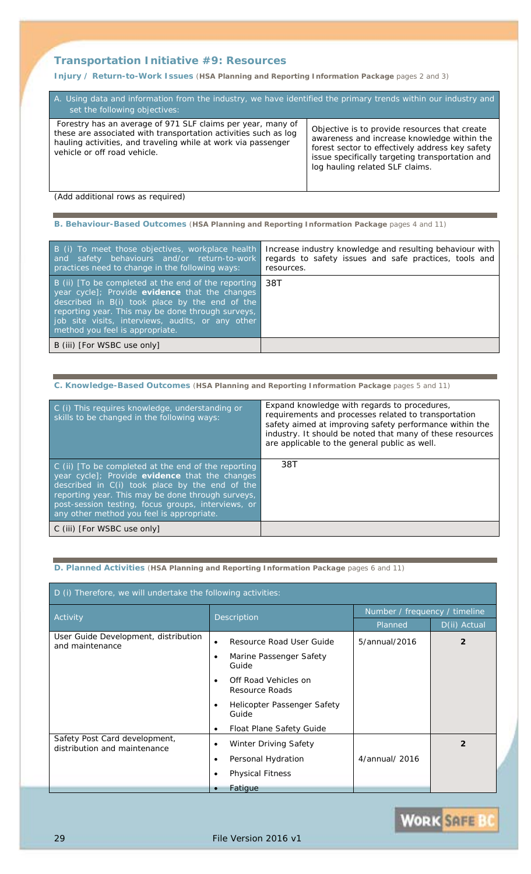## **Transportation Initiative #9:** *Resources*

**Injury / Return-to-Work Issues** (**HSA Planning and Reporting Information Package** pages 2 and 3)

| A. Using data and information from the industry, we have identified the primary trends within our industry and<br>set the following objectives:                                                                                 |                                                                                                                                                                                                                                       |  |
|---------------------------------------------------------------------------------------------------------------------------------------------------------------------------------------------------------------------------------|---------------------------------------------------------------------------------------------------------------------------------------------------------------------------------------------------------------------------------------|--|
| Forestry has an average of 971 SLF claims per year, many of<br>these are associated with transportation activities such as log<br>hauling activities, and traveling while at work via passenger<br>vehicle or off road vehicle. | Objective is to provide resources that create<br>awareness and increase knowledge within the<br>forest sector to effectively address key safety<br>issue specifically targeting transportation and<br>log hauling related SLF claims. |  |

*(Add additional rows as required)*

**B. Behaviour-Based Outcomes** (**HSA Planning and Reporting Information Package** pages 4 and 11)

| B (i) To meet those objectives, workplace health<br>and safety behaviours and/or return-to-work<br>practices need to change in the following ways:                                                                                                                                                   | Increase industry knowledge and resulting behaviour with<br>regards to safety issues and safe practices, tools and<br>resources. |
|------------------------------------------------------------------------------------------------------------------------------------------------------------------------------------------------------------------------------------------------------------------------------------------------------|----------------------------------------------------------------------------------------------------------------------------------|
| B (ii) [To be completed at the end of the reporting<br>year cycle]; Provide evidence that the changes<br>described in B(i) took place by the end of the<br>reporting year. This may be done through surveys,<br>job site visits, interviews, audits, or any other<br>method you feel is appropriate. | 38T                                                                                                                              |
| B (iii) [For WSBC use only]                                                                                                                                                                                                                                                                          |                                                                                                                                  |

### **C. Knowledge-Based Outcomes** (**HSA Planning and Reporting Information Package** pages 5 and 11)

| C (i) This requires knowledge, understanding or<br>skills to be changed in the following ways:                                                                                                                                                                                                                  | Expand knowledge with regards to procedures,<br>requirements and processes related to transportation<br>safety aimed at improving safety performance within the<br>industry. It should be noted that many of these resources<br>are applicable to the general public as well. |
|-----------------------------------------------------------------------------------------------------------------------------------------------------------------------------------------------------------------------------------------------------------------------------------------------------------------|-------------------------------------------------------------------------------------------------------------------------------------------------------------------------------------------------------------------------------------------------------------------------------|
| C (ii) [To be completed at the end of the reporting<br>year cycle]; Provide evidence that the changes<br>described in C(i) took place by the end of the<br>reporting year. This may be done through surveys,<br>post-session testing, focus groups, interviews, or<br>any other method you feel is appropriate. | 38T                                                                                                                                                                                                                                                                           |
| C (iii) [For WSBC use only]                                                                                                                                                                                                                                                                                     |                                                                                                                                                                                                                                                                               |

#### **D. Planned Activities** (**HSA Planning and Reporting Information Package** pages 6 and 11)

| D (i) Therefore, we will undertake the following activities:  |                                              |                               |                |
|---------------------------------------------------------------|----------------------------------------------|-------------------------------|----------------|
| Activity                                                      | Description                                  | Number / frequency / timeline |                |
|                                                               |                                              | Planned                       | D(ii) Actual   |
| User Guide Development, distribution<br>and maintenance       | Resource Road User Guide<br>$\bullet$        | 5/annual/2016                 | $\overline{2}$ |
|                                                               | Marine Passenger Safety<br>Guide             |                               |                |
|                                                               | Off Road Vehicles on<br>Resource Roads       |                               |                |
|                                                               | <b>Helicopter Passenger Safety</b><br>Guide  |                               |                |
|                                                               | <b>Float Plane Safety Guide</b><br>$\bullet$ |                               |                |
| Safety Post Card development,<br>distribution and maintenance | <b>Winter Driving Safety</b><br>$\bullet$    |                               | $\mathcal{P}$  |
|                                                               | Personal Hydration<br>$\bullet$              | 4/annual/ 2016                |                |
|                                                               | <b>Physical Fitness</b>                      |                               |                |
|                                                               | Fatigue                                      |                               |                |

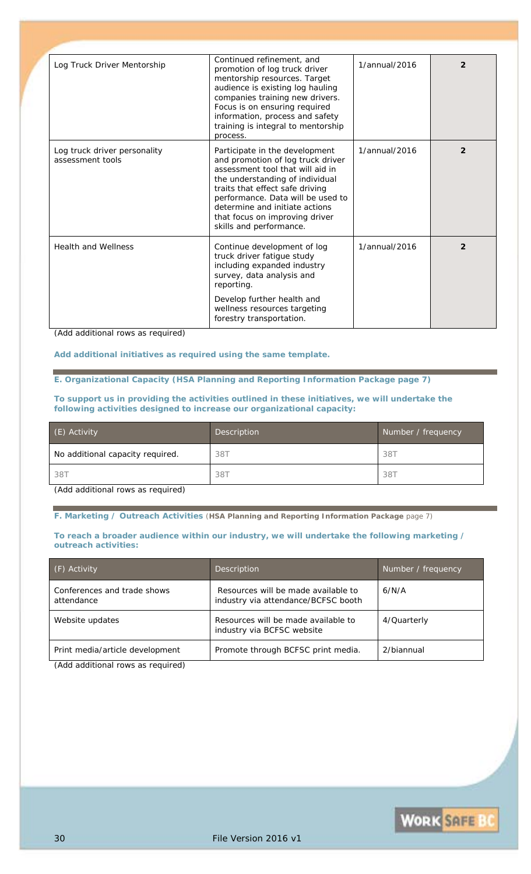| Log Truck Driver Mentorship                      | Continued refinement, and<br>promotion of log truck driver<br>mentorship resources. Target<br>audience is existing log hauling<br>companies training new drivers.<br>Focus is on ensuring required<br>information, process and safety<br>training is integral to mentorship<br>process.                           | 1/annual/2016 | $\overline{2}$ |
|--------------------------------------------------|-------------------------------------------------------------------------------------------------------------------------------------------------------------------------------------------------------------------------------------------------------------------------------------------------------------------|---------------|----------------|
| Log truck driver personality<br>assessment tools | Participate in the development<br>and promotion of log truck driver<br>assessment tool that will aid in<br>the understanding of individual<br>traits that effect safe driving<br>performance. Data will be used to<br>determine and initiate actions<br>that focus on improving driver<br>skills and performance. | 1/annual/2016 | $\mathfrak{p}$ |
| <b>Health and Wellness</b>                       | Continue development of log<br>truck driver fatigue study<br>including expanded industry<br>survey, data analysis and<br>reporting.                                                                                                                                                                               | 1/annual/2016 | $\overline{2}$ |
|                                                  | Develop further health and<br>wellness resources targeting<br>forestry transportation.                                                                                                                                                                                                                            |               |                |

*(Add additional rows as required)*

*Add additional initiatives as required using the same template.*

**E. Organizational Capacity (HSA Planning and Reporting Information Package page 7)**

**To support us in providing the activities outlined in these initiatives, we will undertake the following activities designed to increase our organizational capacity:**

| (E) Activity                     | Description | Number / frequency |
|----------------------------------|-------------|--------------------|
| No additional capacity required. | 38T         | 387                |
| 38T                              | 38T         | 38T                |

*(Add additional rows as required)*

**F. Marketing / Outreach Activities** (**HSA Planning and Reporting Information Package** page 7)

**To reach a broader audience within our industry, we will undertake the following marketing / outreach activities:**

| (F) Activity                              | Description                                                                | Number / frequency |
|-------------------------------------------|----------------------------------------------------------------------------|--------------------|
| Conferences and trade shows<br>attendance | Resources will be made available to<br>industry via attendance/BCFSC booth | 6/N/A              |
| Website updates                           | Resources will be made available to<br>industry via BCFSC website          | 4/Quarterly        |
| Print media/article development           | Promote through BCFSC print media.                                         | 2/biannual         |
| (Addcddd                                  |                                                                            |                    |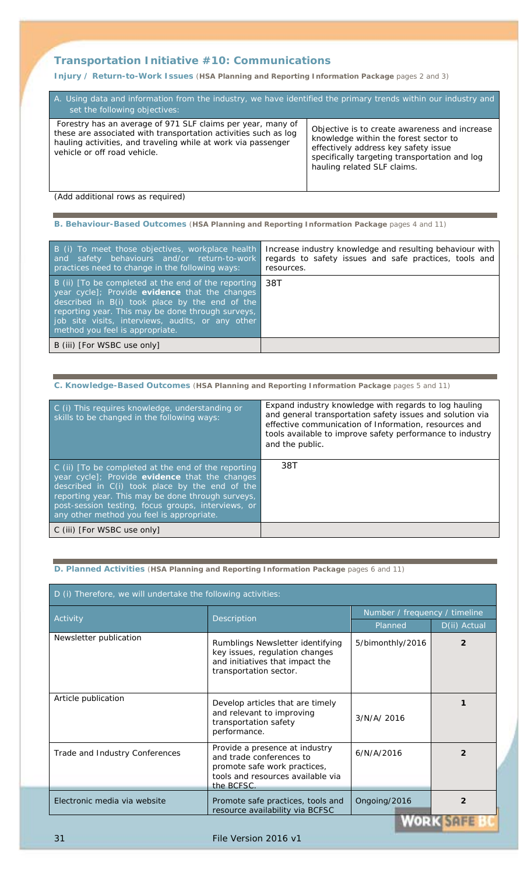## **Transportation Initiative #10:** *Communications*

**Injury / Return-to-Work Issues** (**HSA Planning and Reporting Information Package** pages 2 and 3)

| A. Using data and information from the industry, we have identified the primary trends within our industry and<br>set the following objectives:                                                                                 |                                                                                                                                                                                                                |  |
|---------------------------------------------------------------------------------------------------------------------------------------------------------------------------------------------------------------------------------|----------------------------------------------------------------------------------------------------------------------------------------------------------------------------------------------------------------|--|
| Forestry has an average of 971 SLF claims per year, many of<br>these are associated with transportation activities such as log<br>hauling activities, and traveling while at work via passenger<br>vehicle or off road vehicle. | Objective is to create awareness and increase<br>knowledge within the forest sector to<br>effectively address key safety issue<br>specifically targeting transportation and log<br>hauling related SLF claims. |  |

*(Add additional rows as required)*

**B. Behaviour-Based Outcomes** (**HSA Planning and Reporting Information Package** pages 4 and 11)

| B (i) To meet those objectives, workplace health<br>and safety behaviours and/or return-to-work<br>practices need to change in the following ways:                                                                                                                                                   | Increase industry knowledge and resulting behaviour with<br>regards to safety issues and safe practices, tools and<br>resources. |
|------------------------------------------------------------------------------------------------------------------------------------------------------------------------------------------------------------------------------------------------------------------------------------------------------|----------------------------------------------------------------------------------------------------------------------------------|
| B (ii) [To be completed at the end of the reporting<br>year cycle]; Provide evidence that the changes<br>described in B(i) took place by the end of the<br>reporting year. This may be done through surveys,<br>job site visits, interviews, audits, or any other<br>method you feel is appropriate. | 38T                                                                                                                              |
| B (iii) [For WSBC use only]                                                                                                                                                                                                                                                                          |                                                                                                                                  |

### **C. Knowledge-Based Outcomes** (**HSA Planning and Reporting Information Package** pages 5 and 11)

| C (i) This requires knowledge, understanding or<br>skills to be changed in the following ways:                                                                                                                                                                                                                  | Expand industry knowledge with regards to log hauling<br>and general transportation safety issues and solution via<br>effective communication of Information, resources and<br>tools available to improve safety performance to industry<br>and the public. |
|-----------------------------------------------------------------------------------------------------------------------------------------------------------------------------------------------------------------------------------------------------------------------------------------------------------------|-------------------------------------------------------------------------------------------------------------------------------------------------------------------------------------------------------------------------------------------------------------|
| C (ii) [To be completed at the end of the reporting<br>year cycle]; Provide evidence that the changes<br>described in C(i) took place by the end of the<br>reporting year. This may be done through surveys,<br>post-session testing, focus groups, interviews, or<br>any other method you feel is appropriate. | 38T                                                                                                                                                                                                                                                         |
| C (iii) [For WSBC use only]                                                                                                                                                                                                                                                                                     |                                                                                                                                                                                                                                                             |

#### **D. Planned Activities** (**HSA Planning and Reporting Information Package** pages 6 and 11)

| D (i) Therefore, we will undertake the following activities: |                                                                                                                                               |                               |                |
|--------------------------------------------------------------|-----------------------------------------------------------------------------------------------------------------------------------------------|-------------------------------|----------------|
| Activity                                                     | Description                                                                                                                                   | Number / frequency / timeline |                |
|                                                              |                                                                                                                                               | Planned                       | D(ii) Actual   |
| Newsletter publication                                       | Rumblings Newsletter identifying<br>key issues, regulation changes<br>and initiatives that impact the<br>transportation sector.               | 5/bimonthly/2016              | $\mathfrak{p}$ |
| Article publication                                          | Develop articles that are timely<br>and relevant to improving<br>transportation safety<br>performance.                                        | 3/N/A/2016                    |                |
| Trade and Industry Conferences                               | Provide a presence at industry<br>and trade conferences to<br>promote safe work practices,<br>tools and resources available via<br>the BCFSC. | 6/N/A/2016                    | 2              |
| Electronic media via website                                 | Promote safe practices, tools and<br>resource availability via BCFSC                                                                          | Ongoing/2016<br>llinn vi      | $\overline{2}$ |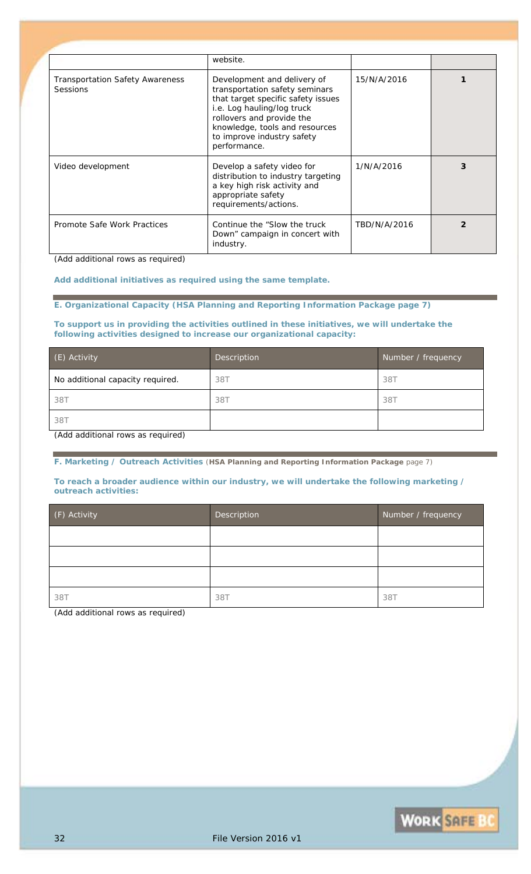|                                                           | website.                                                                                                                                                                                                                                       |              |   |
|-----------------------------------------------------------|------------------------------------------------------------------------------------------------------------------------------------------------------------------------------------------------------------------------------------------------|--------------|---|
| <b>Transportation Safety Awareness</b><br><b>Sessions</b> | Development and delivery of<br>transportation safety seminars<br>that target specific safety issues<br>i.e. Log hauling/log truck<br>rollovers and provide the<br>knowledge, tools and resources<br>to improve industry safety<br>performance. | 15/N/A/2016  |   |
| Video development                                         | Develop a safety video for<br>distribution to industry targeting<br>a key high risk activity and<br>appropriate safety<br>requirements/actions.                                                                                                | 1/N/A/2016   | 3 |
| Promote Safe Work Practices                               | Continue the "Slow the truck"<br>Down" campaign in concert with<br>industry.                                                                                                                                                                   | TBD/N/A/2016 | 2 |

*(Add additional rows as required)*

*Add additional initiatives as required using the same template.*

**E. Organizational Capacity (HSA Planning and Reporting Information Package page 7)**

**To support us in providing the activities outlined in these initiatives, we will undertake the following activities designed to increase our organizational capacity:**

| (E) Activity                     | Description | Number / frequency |
|----------------------------------|-------------|--------------------|
| No additional capacity required. | 38T         | 38T                |
| 38T                              | 38T         | 38T                |
| 38T                              |             |                    |

*(Add additional rows as required)*

**F. Marketing / Outreach Activities** (**HSA Planning and Reporting Information Package** page 7)

**To reach a broader audience within our industry, we will undertake the following marketing / outreach activities:**

| (F) Activity | Description | Number / frequency |
|--------------|-------------|--------------------|
|              |             |                    |
|              |             |                    |
|              |             |                    |
| 38T          | 38T         | 387                |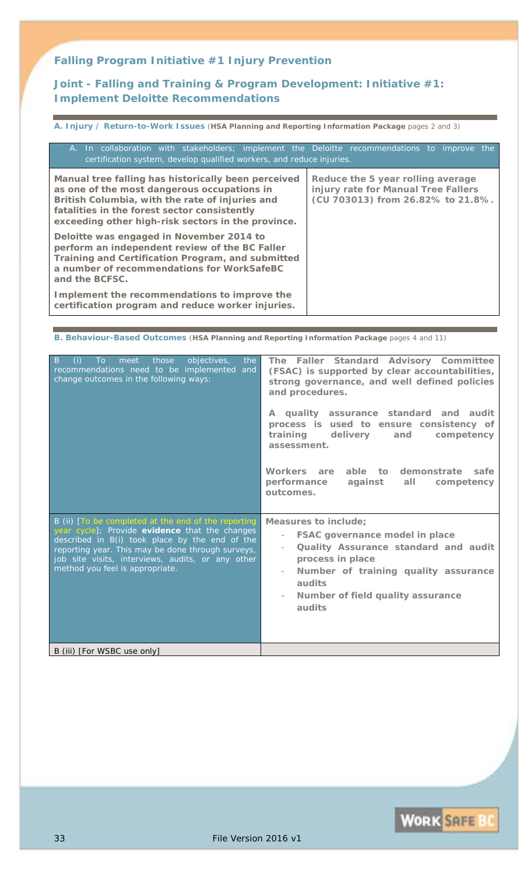*Falling Program Initiative #1 Injury Prevention* 

**Joint - Falling and Training & Program Development: Initiative #1:**  *Implement Deloitte Recommendations* 

**A. Injury / Return-to-Work Issues** (**HSA Planning and Reporting Information Package** pages 2 and 3)

| A. In collaboration with stakeholders; implement the Deloitte recommendations to improve the<br>certification system, develop qualified workers, and reduce injuries.                                                                                       |                                                                                                               |
|-------------------------------------------------------------------------------------------------------------------------------------------------------------------------------------------------------------------------------------------------------------|---------------------------------------------------------------------------------------------------------------|
| Manual tree falling has historically been perceived<br>as one of the most dangerous occupations in<br>British Columbia, with the rate of injuries and<br>fatalities in the forest sector consistently<br>exceeding other high-risk sectors in the province. | Reduce the 5 year rolling average<br>injury rate for Manual Tree Fallers<br>(CU 703013) from 26.82% to 21.8%. |
| Deloitte was engaged in November 2014 to<br>perform an independent review of the BC Faller<br>Training and Certification Program, and submitted<br>a number of recommendations for WorkSafeBC<br>and the BCFSC.                                             |                                                                                                               |
| Implement the recommendations to improve the<br>certification program and reduce worker injuries.                                                                                                                                                           |                                                                                                               |

**B. Behaviour-Based Outcomes** (**HSA Planning and Reporting Information Package** pages 4 and 11)

| objectives,<br>$\overline{B}$<br>meet<br>those<br>the<br>(i)<br>To<br>recommendations need to be implemented and<br>change outcomes in the following ways:                                                                                                                                           | The Faller Standard Advisory Committee<br>(FSAC) is supported by clear accountabilities,<br>strong governance, and well defined policies<br>and procedures.<br>A quality assurance standard and audit<br>process is used to ensure consistency of<br>training delivery<br>and<br>competency<br>assessment.<br>Workers are able to demonstrate safe<br>performance against<br>all<br>competency<br>outcomes. |
|------------------------------------------------------------------------------------------------------------------------------------------------------------------------------------------------------------------------------------------------------------------------------------------------------|-------------------------------------------------------------------------------------------------------------------------------------------------------------------------------------------------------------------------------------------------------------------------------------------------------------------------------------------------------------------------------------------------------------|
| B (ii) [To be completed at the end of the reporting<br>year cycle]; Provide evidence that the changes<br>described in B(i) took place by the end of the<br>reporting year. This may be done through surveys,<br>job site visits, interviews, audits, or any other<br>method you feel is appropriate. | <b>Measures to include;</b><br><b>FSAC governance model in place</b><br>Quality Assurance standard and audit<br>process in place<br>Number of training quality assurance<br>audits<br>Number of field quality assurance<br>audits                                                                                                                                                                           |
| B (iii) [For WSBC use only]                                                                                                                                                                                                                                                                          |                                                                                                                                                                                                                                                                                                                                                                                                             |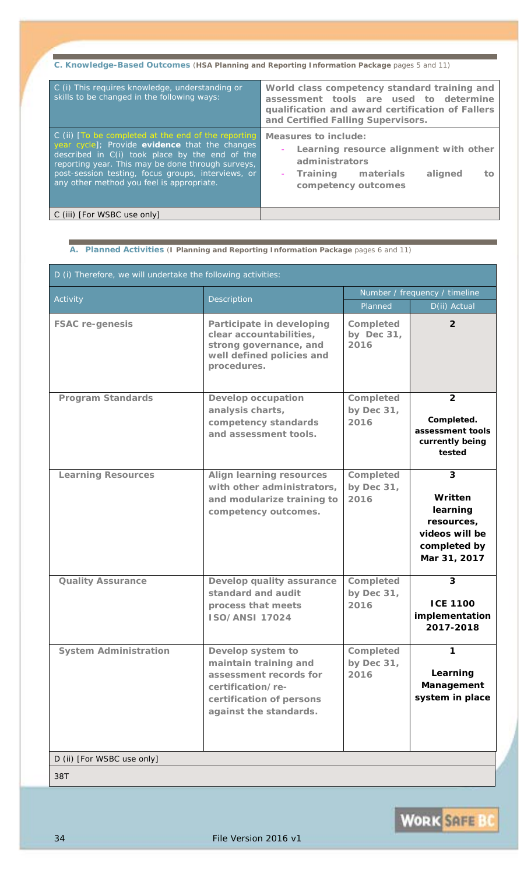| C. Knowledge-Based Outcomes (HSA Planning and Reporting Information Package pages 5 and 11)                                                                                                                                                                                                                     |                                                                                                                                                                                  |  |  |  |
|-----------------------------------------------------------------------------------------------------------------------------------------------------------------------------------------------------------------------------------------------------------------------------------------------------------------|----------------------------------------------------------------------------------------------------------------------------------------------------------------------------------|--|--|--|
| C (i) This requires knowledge, understanding or<br>skills to be changed in the following ways:                                                                                                                                                                                                                  | World class competency standard training and<br>assessment tools are used to determine<br>qualification and award certification of Fallers<br>and Certified Falling Supervisors. |  |  |  |
| C (ii) [To be completed at the end of the reporting<br>year cycle]; Provide evidence that the changes<br>described in C(i) took place by the end of the<br>reporting year. This may be done through surveys,<br>post-session testing, focus groups, interviews, or<br>any other method you feel is appropriate. | Measures to include:<br>Learning resource alignment with other<br>administrators<br>Training materials<br>aligned<br>tо<br>competency outcomes                                   |  |  |  |
| C (iii) [For WSBC use only]                                                                                                                                                                                                                                                                                     |                                                                                                                                                                                  |  |  |  |

**A. Planned Activities** (**I Planning and Reporting Information Package** pages 6 and 11)

| D (i) Therefore, we will undertake the following activities: |                                                                                                                                                 |                                 |                                                                                          |  |
|--------------------------------------------------------------|-------------------------------------------------------------------------------------------------------------------------------------------------|---------------------------------|------------------------------------------------------------------------------------------|--|
| Description                                                  | Number / frequency / timeline                                                                                                                   |                                 |                                                                                          |  |
| Activity                                                     |                                                                                                                                                 | Planned                         | D(ii) Actual                                                                             |  |
| <b>FSAC re-genesis</b>                                       | Participate in developing<br>clear accountabilities,<br>strong governance, and<br>well defined policies and<br>procedures.                      | Completed<br>by Dec 31,<br>2016 | $\overline{2}$                                                                           |  |
| <b>Program Standards</b>                                     | <b>Develop occupation</b><br>analysis charts,<br>competency standards<br>and assessment tools.                                                  | Completed<br>by Dec 31,<br>2016 | $\overline{2}$<br>Completed.<br>assessment tools<br>currently being<br>tested            |  |
| <b>Learning Resources</b>                                    | <b>Align learning resources</b><br>with other administrators,<br>and modularize training to<br>competency outcomes.                             | Completed<br>by Dec 31,<br>2016 | 3<br>Written<br>learning<br>resources,<br>videos will be<br>completed by<br>Mar 31, 2017 |  |
| <b>Quality Assurance</b>                                     | Develop quality assurance<br>standard and audit<br>process that meets<br><b>ISO/ANSI 17024</b>                                                  | Completed<br>by Dec 31,<br>2016 | $\boldsymbol{3}$<br><b>ICE 1100</b><br>implementation<br>2017-2018                       |  |
| <b>System Administration</b>                                 | Develop system to<br>maintain training and<br>assessment records for<br>certification/re-<br>certification of persons<br>against the standards. | Completed<br>by Dec 31,<br>2016 | 1<br>Learning<br>Management<br>system in place                                           |  |
| D (ii) [For WSBC use only]                                   |                                                                                                                                                 |                                 |                                                                                          |  |
| 38T                                                          |                                                                                                                                                 |                                 |                                                                                          |  |